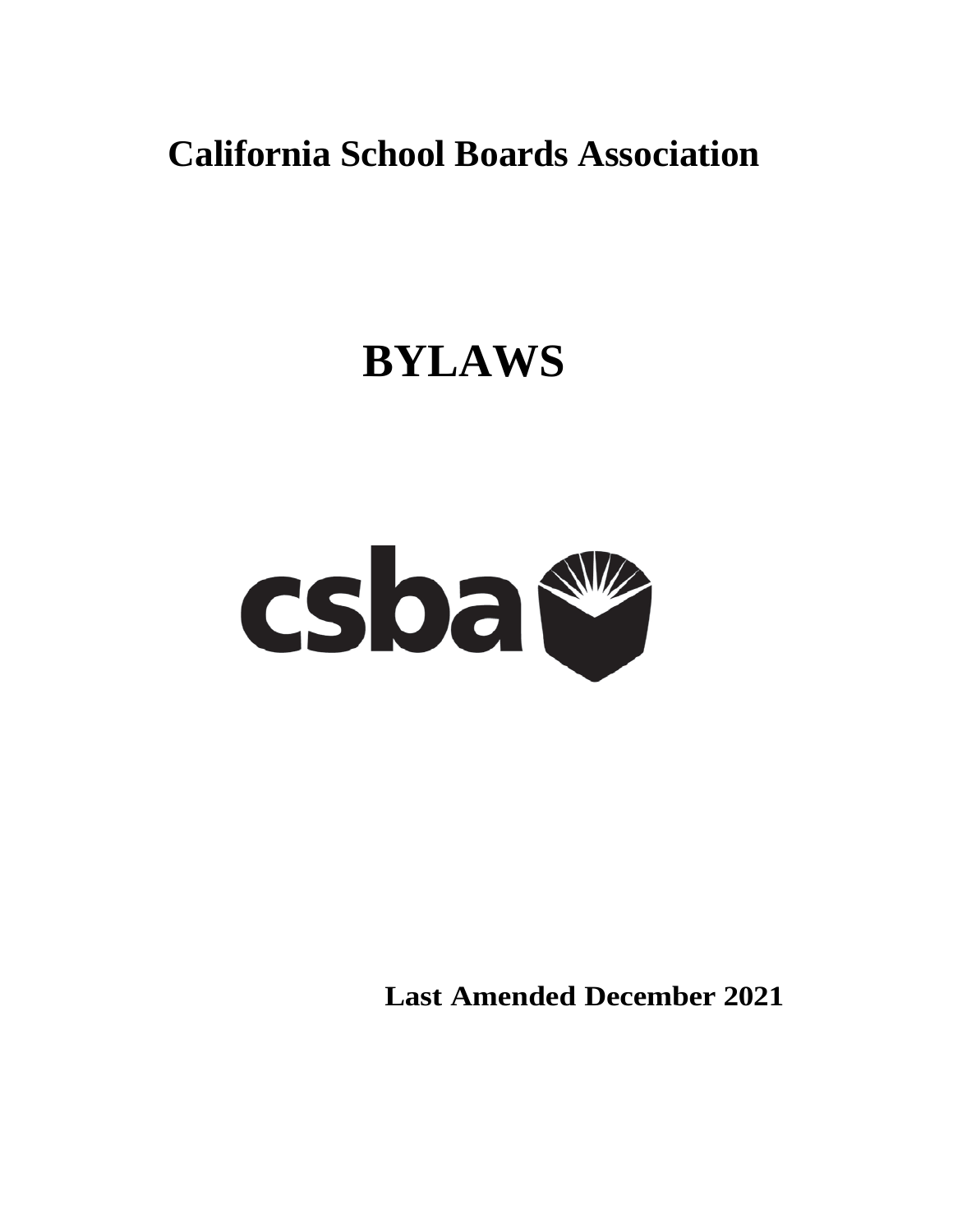**California School Boards Association**

# **BYLAWS**



**Last Amended December 2021**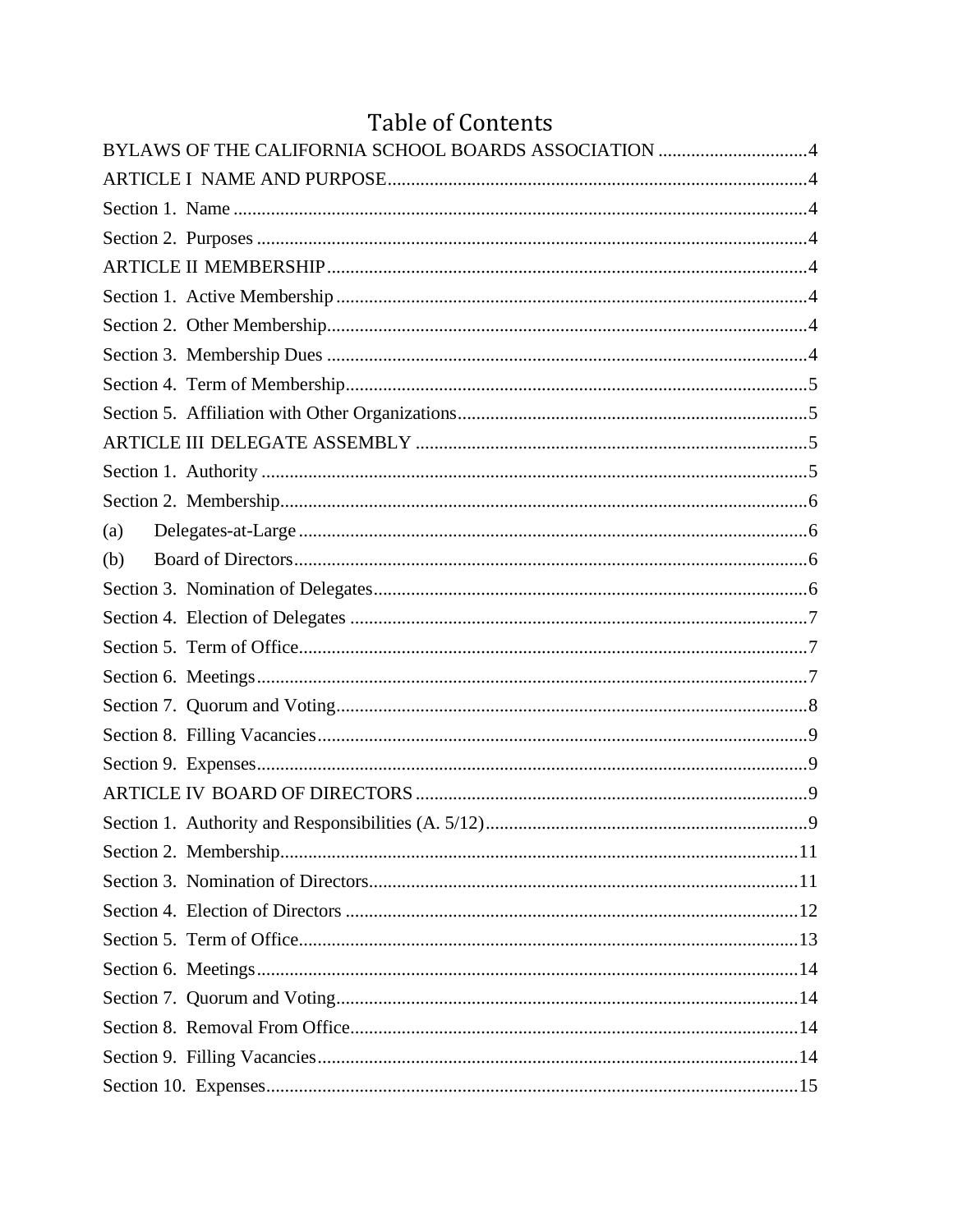# **Table of Contents**

|     | BYLAWS OF THE CALIFORNIA SCHOOL BOARDS ASSOCIATION 4 |
|-----|------------------------------------------------------|
|     |                                                      |
|     |                                                      |
|     |                                                      |
|     |                                                      |
|     |                                                      |
|     |                                                      |
|     |                                                      |
|     |                                                      |
|     |                                                      |
|     |                                                      |
|     |                                                      |
|     |                                                      |
| (a) |                                                      |
| (b) |                                                      |
|     |                                                      |
|     |                                                      |
|     |                                                      |
|     |                                                      |
|     |                                                      |
|     |                                                      |
|     |                                                      |
|     |                                                      |
|     |                                                      |
|     |                                                      |
|     |                                                      |
|     |                                                      |
|     |                                                      |
|     |                                                      |
|     |                                                      |
|     |                                                      |
|     |                                                      |
|     |                                                      |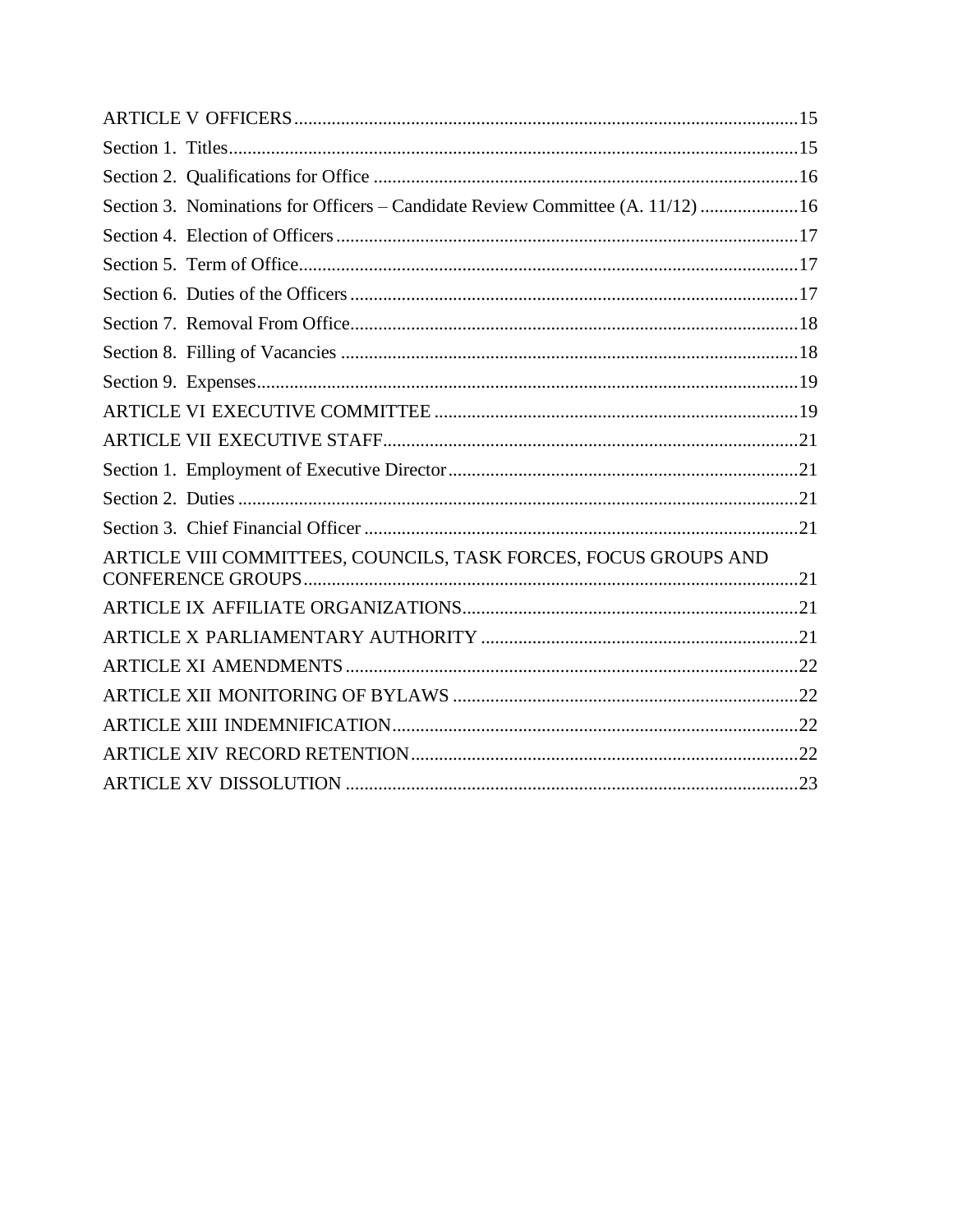| Section 3. Nominations for Officers - Candidate Review Committee (A. 11/12) 16 |
|--------------------------------------------------------------------------------|
|                                                                                |
|                                                                                |
|                                                                                |
|                                                                                |
|                                                                                |
|                                                                                |
|                                                                                |
|                                                                                |
|                                                                                |
|                                                                                |
|                                                                                |
| ARTICLE VIII COMMITTEES, COUNCILS, TASK FORCES, FOCUS GROUPS AND               |
|                                                                                |
|                                                                                |
|                                                                                |
|                                                                                |
|                                                                                |
|                                                                                |
|                                                                                |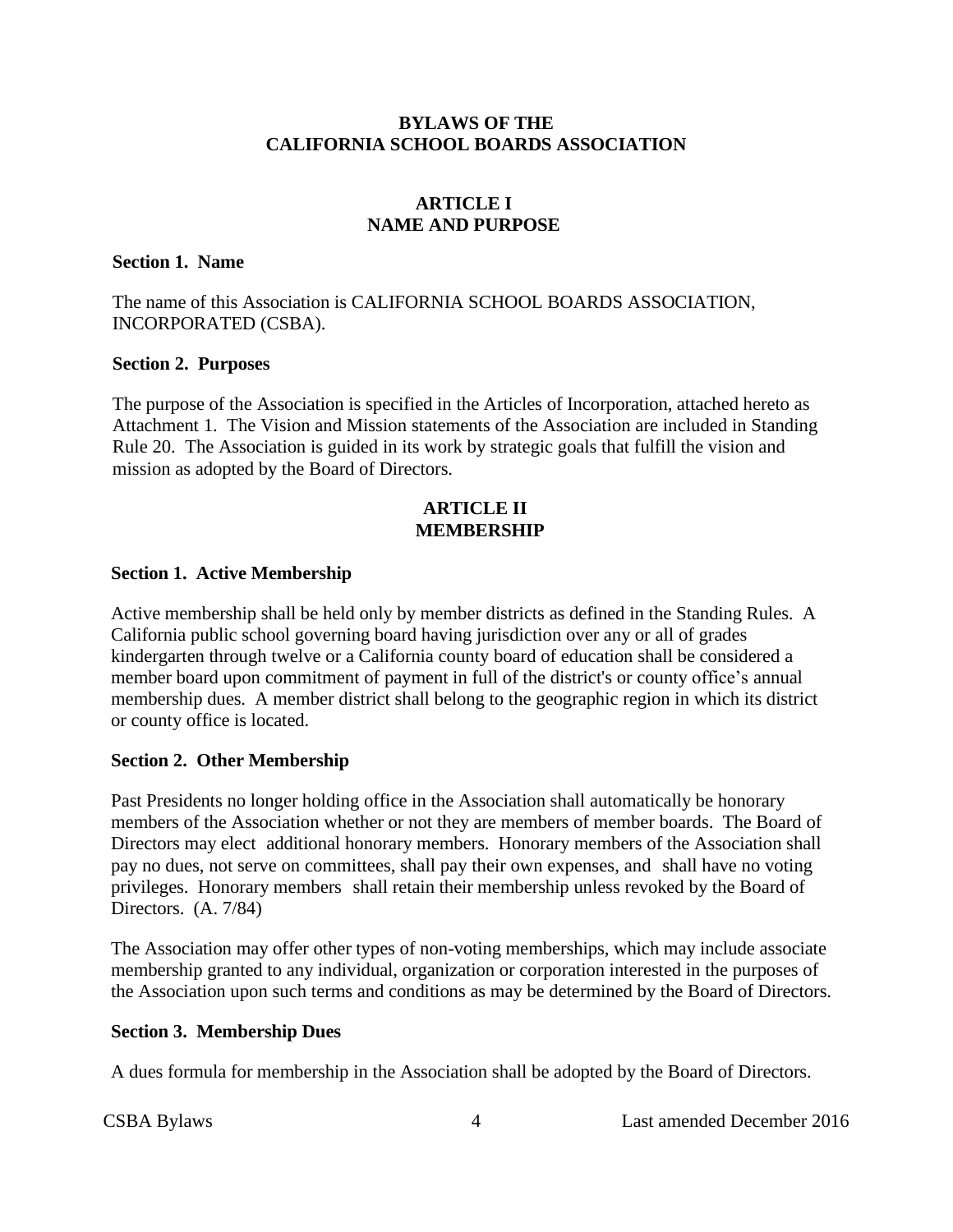#### **BYLAWS OF THE CALIFORNIA SCHOOL BOARDS ASSOCIATION**

#### **ARTICLE I NAME AND PURPOSE**

#### <span id="page-3-2"></span><span id="page-3-1"></span><span id="page-3-0"></span>**Section 1. Name**

The name of this Association is CALIFORNIA SCHOOL BOARDS ASSOCIATION, INCORPORATED (CSBA).

#### <span id="page-3-3"></span>**Section 2. Purposes**

The purpose of the Association is specified in the Articles of Incorporation, attached hereto as Attachment 1. The Vision and Mission statements of the Association are included in Standing Rule 20. The Association is guided in its work by strategic goals that fulfill the vision and mission as adopted by the Board of Directors.

#### **ARTICLE II MEMBERSHIP**

#### <span id="page-3-5"></span><span id="page-3-4"></span>**Section 1. Active Membership**

Active membership shall be held only by member districts as defined in the Standing Rules. A California public school governing board having jurisdiction over any or all of grades kindergarten through twelve or a California county board of education shall be considered a member board upon commitment of payment in full of the district's or county office's annual membership dues. A member district shall belong to the geographic region in which its district or county office is located.

#### <span id="page-3-6"></span>**Section 2. Other Membership**

Past Presidents no longer holding office in the Association shall automatically be honorary members of the Association whether or not they are members of member boards. The Board of Directors may elect additional honorary members. Honorary members of the Association shall pay no dues, not serve on committees, shall pay their own expenses, and shall have no voting privileges. Honorary members shall retain their membership unless revoked by the Board of Directors. (A. 7/84)

The Association may offer other types of non-voting memberships, which may include associate membership granted to any individual, organization or corporation interested in the purposes of the Association upon such terms and conditions as may be determined by the Board of Directors.

#### <span id="page-3-7"></span>**Section 3. Membership Dues**

A dues formula for membership in the Association shall be adopted by the Board of Directors.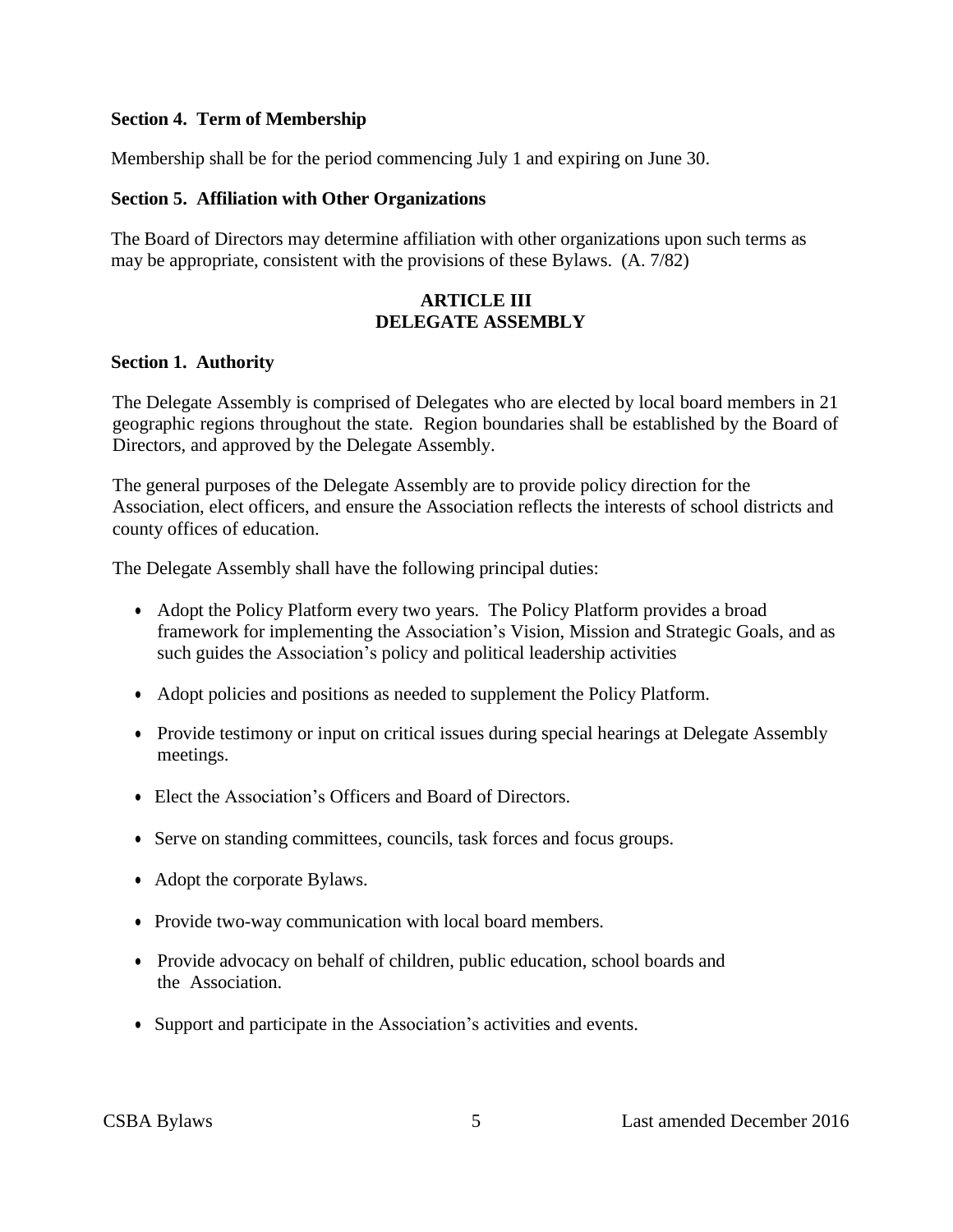#### <span id="page-4-0"></span>**Section 4. Term of Membership**

Membership shall be for the period commencing July 1 and expiring on June 30.

#### <span id="page-4-1"></span>**Section 5. Affiliation with Other Organizations**

<span id="page-4-2"></span>The Board of Directors may determine affiliation with other organizations upon such terms as may be appropriate, consistent with the provisions of these Bylaws. (A. 7/82)

#### **ARTICLE III DELEGATE ASSEMBLY**

#### <span id="page-4-3"></span>**Section 1. Authority**

The Delegate Assembly is comprised of Delegates who are elected by local board members in 21 geographic regions throughout the state. Region boundaries shall be established by the Board of Directors, and approved by the Delegate Assembly.

The general purposes of the Delegate Assembly are to provide policy direction for the Association, elect officers, and ensure the Association reflects the interests of school districts and county offices of education.

The Delegate Assembly shall have the following principal duties:

- Adopt the Policy Platform every two years. The Policy Platform provides a broad framework for implementing the Association's Vision, Mission and Strategic Goals, and as such guides the Association's policy and political leadership activities
- Adopt policies and positions as needed to supplement the Policy Platform.
- Provide testimony or input on critical issues during special hearings at Delegate Assembly meetings.
- Elect the Association's Officers and Board of Directors.
- Serve on standing committees, councils, task forces and focus groups.
- Adopt the corporate Bylaws.
- Provide two-way communication with local board members.
- Provide advocacy on behalf of children, public education, school boards and the Association.
- Support and participate in the Association's activities and events.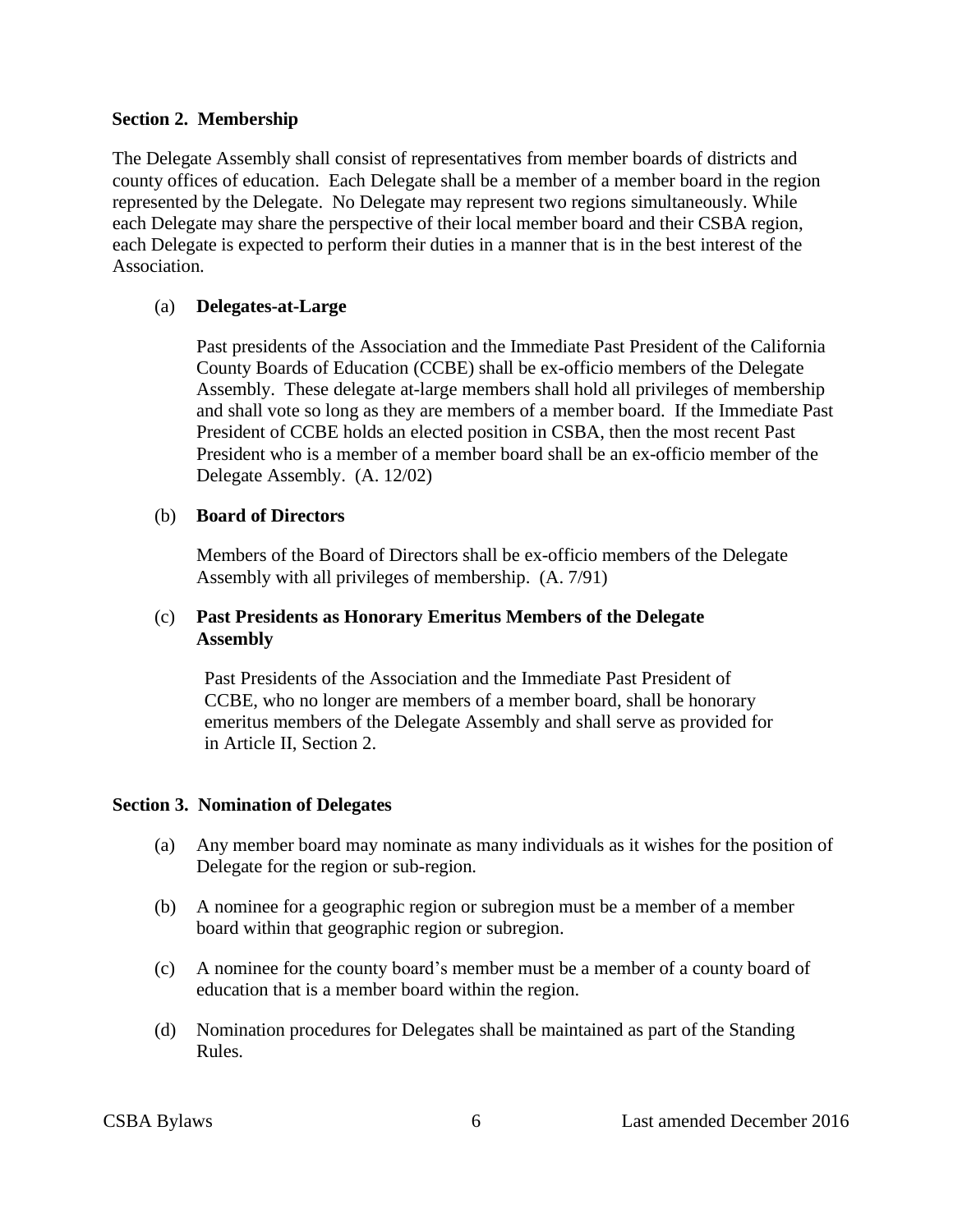#### <span id="page-5-0"></span>**Section 2. Membership**

The Delegate Assembly shall consist of representatives from member boards of districts and county offices of education. Each Delegate shall be a member of a member board in the region represented by the Delegate. No Delegate may represent two regions simultaneously. While each Delegate may share the perspective of their local member board and their CSBA region, each Delegate is expected to perform their duties in a manner that is in the best interest of the Association.

#### <span id="page-5-1"></span>(a) **Delegates-at-Large**

Past presidents of the Association and the Immediate Past President of the California County Boards of Education (CCBE) shall be ex-officio members of the Delegate Assembly. These delegate at-large members shall hold all privileges of membership and shall vote so long as they are members of a member board. If the Immediate Past President of CCBE holds an elected position in CSBA, then the most recent Past President who is a member of a member board shall be an ex-officio member of the Delegate Assembly. (A. 12/02)

#### <span id="page-5-2"></span>(b) **Board of Directors**

Members of the Board of Directors shall be ex-officio members of the Delegate Assembly with all privileges of membership. (A. 7/91)

#### (c) **Past Presidents as Honorary Emeritus Members of the Delegate Assembly**

Past Presidents of the Association and the Immediate Past President of CCBE, who no longer are members of a member board, shall be honorary emeritus members of the Delegate Assembly and shall serve as provided for in Article II, Section 2.

#### <span id="page-5-3"></span>**Section 3. Nomination of Delegates**

- (a) Any member board may nominate as many individuals as it wishes for the position of Delegate for the region or sub-region.
- (b) A nominee for a geographic region or subregion must be a member of a member board within that geographic region or subregion.
- (c) A nominee for the county board's member must be a member of a county board of education that is a member board within the region.
- <span id="page-5-4"></span>(d) Nomination procedures for Delegates shall be maintained as part of the Standing Rules.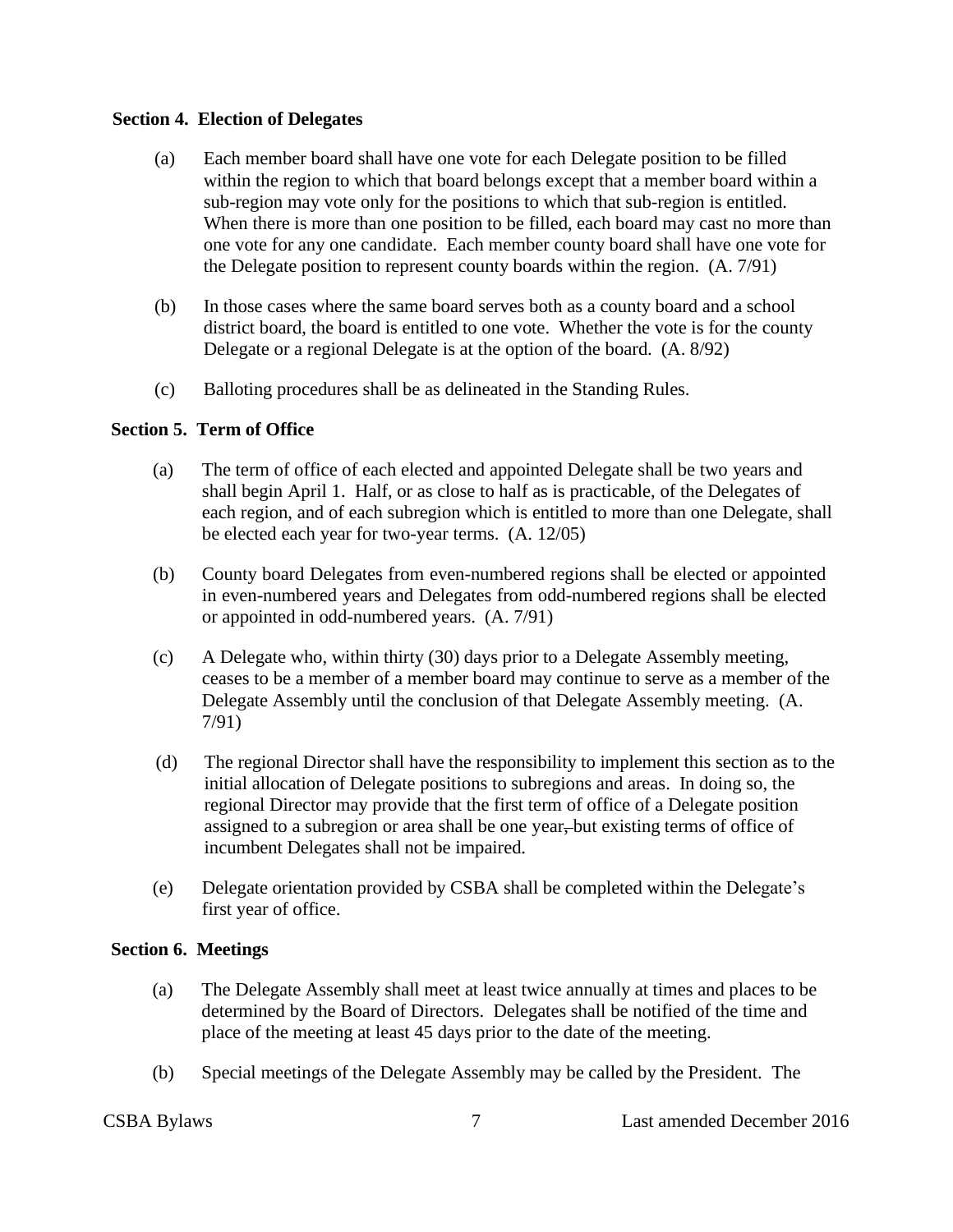#### **Section 4. Election of Delegates**

- (a) Each member board shall have one vote for each Delegate position to be filled within the region to which that board belongs except that a member board within a sub-region may vote only for the positions to which that sub-region is entitled. When there is more than one position to be filled, each board may cast no more than one vote for any one candidate. Each member county board shall have one vote for the Delegate position to represent county boards within the region. (A. 7/91)
- (b) In those cases where the same board serves both as a county board and a school district board, the board is entitled to one vote. Whether the vote is for the county Delegate or a regional Delegate is at the option of the board. (A. 8/92)
- (c) Balloting procedures shall be as delineated in the Standing Rules.

#### <span id="page-6-0"></span>**Section 5. Term of Office**

- (a) The term of office of each elected and appointed Delegate shall be two years and shall begin April 1. Half, or as close to half as is practicable, of the Delegates of each region, and of each subregion which is entitled to more than one Delegate, shall be elected each year for two-year terms. (A. 12/05)
- (b) County board Delegates from even-numbered regions shall be elected or appointed in even-numbered years and Delegates from odd-numbered regions shall be elected or appointed in odd-numbered years. (A. 7/91)
- (c) A Delegate who, within thirty (30) days prior to a Delegate Assembly meeting, ceases to be a member of a member board may continue to serve as a member of the Delegate Assembly until the conclusion of that Delegate Assembly meeting. (A. 7/91)
- (d) The regional Director shall have the responsibility to implement this section as to the initial allocation of Delegate positions to subregions and areas. In doing so, the regional Director may provide that the first term of office of a Delegate position assigned to a subregion or area shall be one year, but existing terms of office of incumbent Delegates shall not be impaired.
- (e) Delegate orientation provided by CSBA shall be completed within the Delegate's first year of office.

#### <span id="page-6-1"></span>**Section 6. Meetings**

- (a) The Delegate Assembly shall meet at least twice annually at times and places to be determined by the Board of Directors. Delegates shall be notified of the time and place of the meeting at least 45 days prior to the date of the meeting.
- (b) Special meetings of the Delegate Assembly may be called by the President. The

CSBA Bylaws 7 Last amended December 2016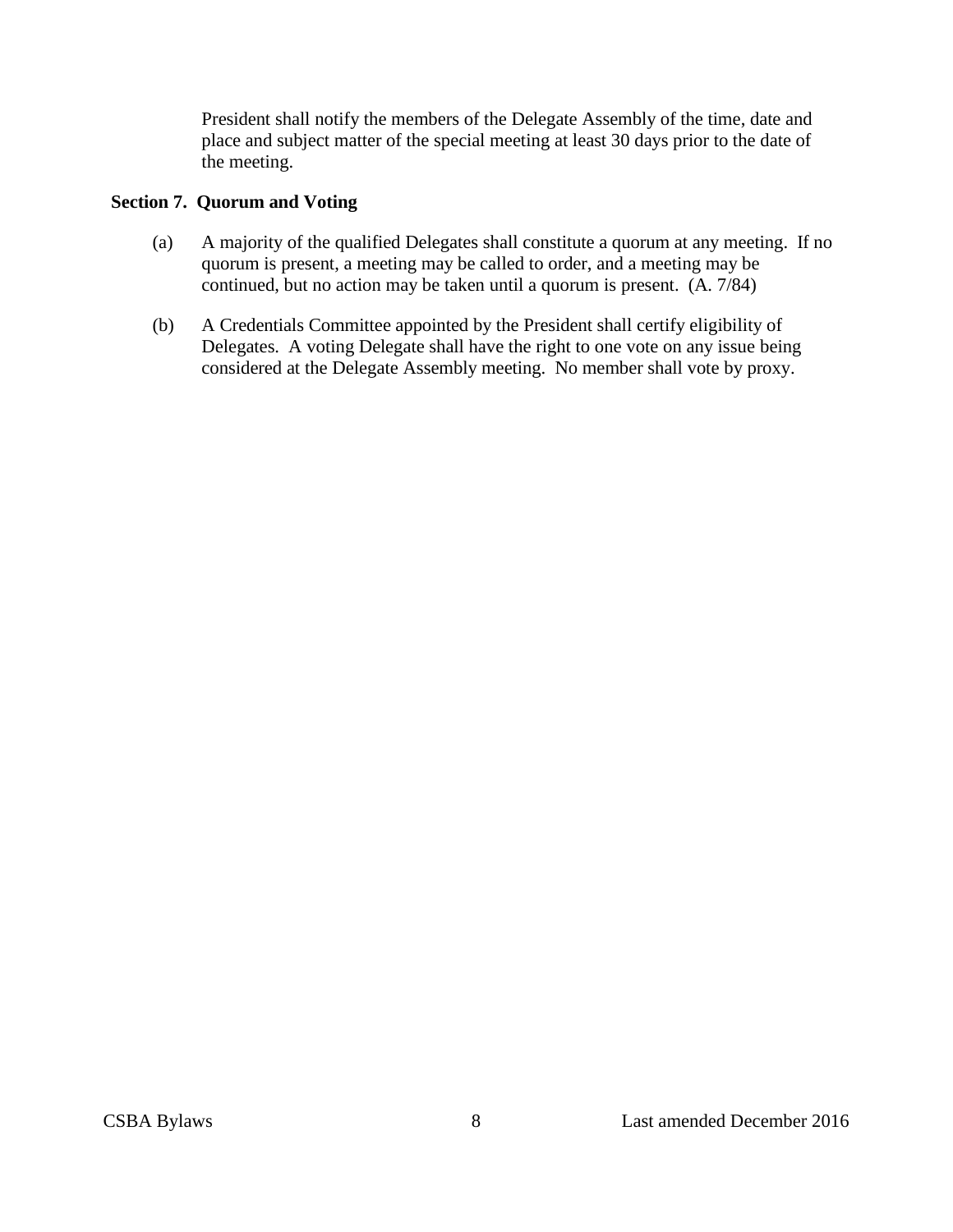President shall notify the members of the Delegate Assembly of the time, date and place and subject matter of the special meeting at least 30 days prior to the date of the meeting.

#### <span id="page-7-0"></span>**Section 7. Quorum and Voting**

- (a) A majority of the qualified Delegates shall constitute a quorum at any meeting. If no quorum is present, a meeting may be called to order, and a meeting may be continued, but no action may be taken until a quorum is present. (A. 7/84)
- (b) A Credentials Committee appointed by the President shall certify eligibility of Delegates. A voting Delegate shall have the right to one vote on any issue being considered at the Delegate Assembly meeting. No member shall vote by proxy.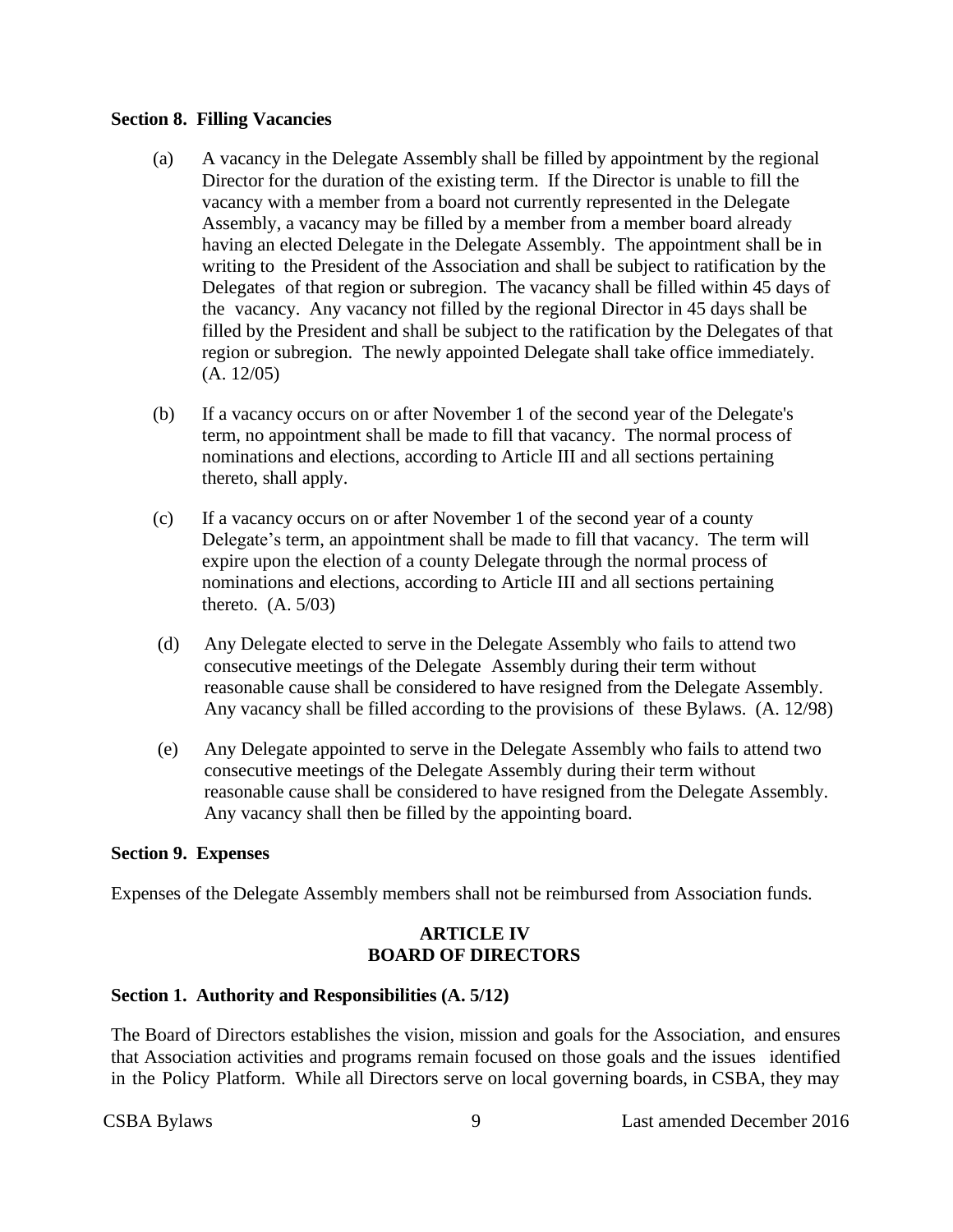#### <span id="page-8-0"></span>**Section 8. Filling Vacancies**

- (a) A vacancy in the Delegate Assembly shall be filled by appointment by the regional Director for the duration of the existing term. If the Director is unable to fill the vacancy with a member from a board not currently represented in the Delegate Assembly, a vacancy may be filled by a member from a member board already having an elected Delegate in the Delegate Assembly. The appointment shall be in writing to the President of the Association and shall be subject to ratification by the Delegates of that region or subregion. The vacancy shall be filled within 45 days of the vacancy. Any vacancy not filled by the regional Director in 45 days shall be filled by the President and shall be subject to the ratification by the Delegates of that region or subregion. The newly appointed Delegate shall take office immediately. (A. 12/05)
- (b) If a vacancy occurs on or after November 1 of the second year of the Delegate's term, no appointment shall be made to fill that vacancy. The normal process of nominations and elections, according to Article III and all sections pertaining thereto, shall apply.
- (c) If a vacancy occurs on or after November 1 of the second year of a county Delegate's term, an appointment shall be made to fill that vacancy. The term will expire upon the election of a county Delegate through the normal process of nominations and elections, according to Article III and all sections pertaining thereto. (A. 5/03)
- (d) Any Delegate elected to serve in the Delegate Assembly who fails to attend two consecutive meetings of the Delegate Assembly during their term without reasonable cause shall be considered to have resigned from the Delegate Assembly. Any vacancy shall be filled according to the provisions of these Bylaws. (A. 12/98)
- (e) Any Delegate appointed to serve in the Delegate Assembly who fails to attend two consecutive meetings of the Delegate Assembly during their term without reasonable cause shall be considered to have resigned from the Delegate Assembly. Any vacancy shall then be filled by the appointing board.

#### <span id="page-8-1"></span>**Section 9. Expenses**

<span id="page-8-2"></span>Expenses of the Delegate Assembly members shall not be reimbursed from Association funds.

#### **ARTICLE IV BOARD OF DIRECTORS**

#### <span id="page-8-3"></span>**Section 1. Authority and Responsibilities (A. 5/12)**

The Board of Directors establishes the vision, mission and goals for the Association, and ensures that Association activities and programs remain focused on those goals and the issues identified in the Policy Platform. While all Directors serve on local governing boards, in CSBA, they may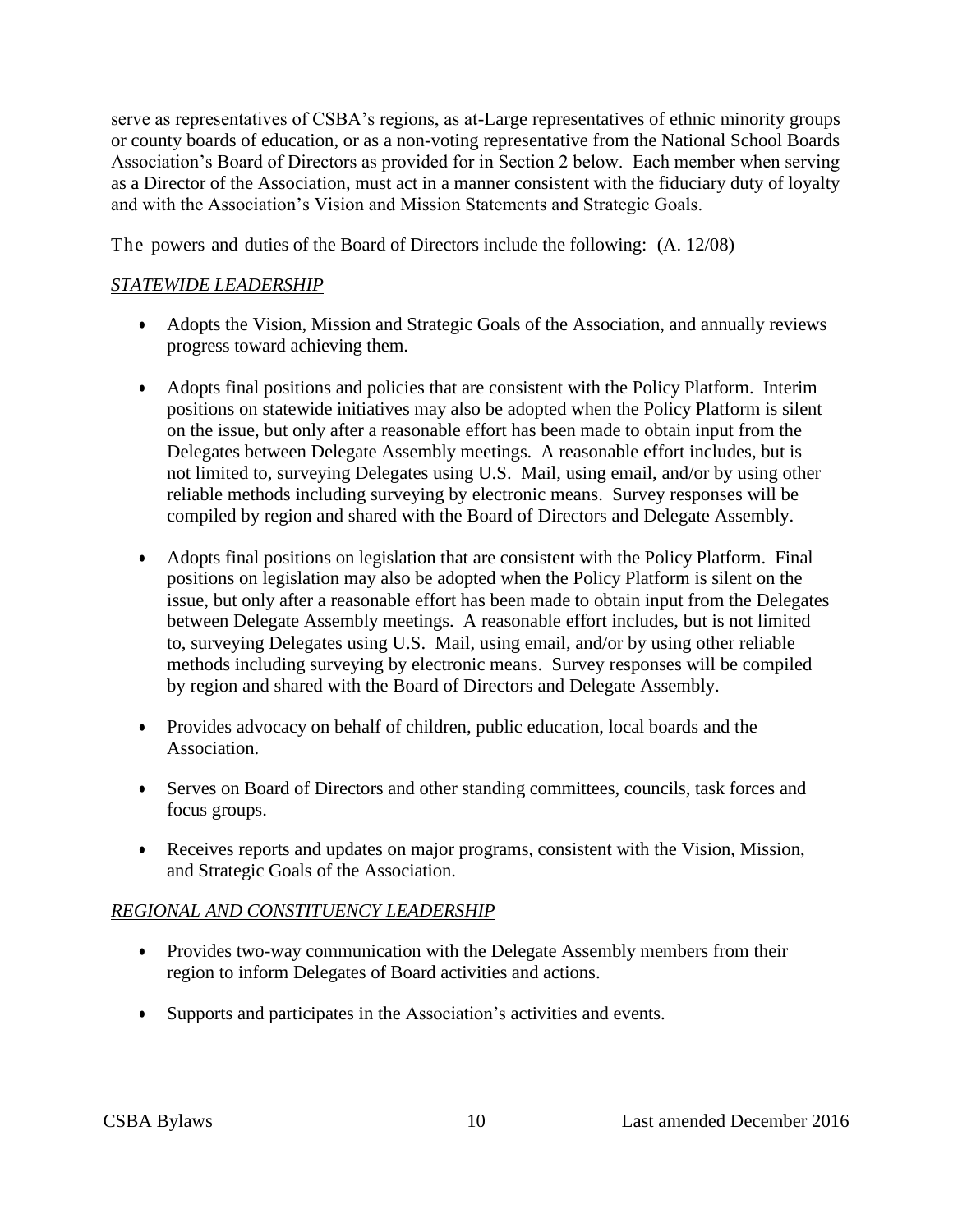serve as representatives of CSBA's regions, as at-Large representatives of ethnic minority groups or county boards of education, or as a non-voting representative from the National School Boards Association's Board of Directors as provided for in Section 2 below. Each member when serving as a Director of the Association, must act in a manner consistent with the fiduciary duty of loyalty and with the Association's Vision and Mission Statements and Strategic Goals.

The powers and duties of the Board of Directors include the following: (A. 12/08)

#### *STATEWIDE LEADERSHIP*

- Adopts the Vision, Mission and Strategic Goals of the Association, and annually reviews progress toward achieving them.
- Adopts final positions and policies that are consistent with the Policy Platform. Interim positions on statewide initiatives may also be adopted when the Policy Platform is silent on the issue, but only after a reasonable effort has been made to obtain input from the Delegates between Delegate Assembly meetings. A reasonable effort includes, but is not limited to, surveying Delegates using U.S. Mail, using email, and/or by using other reliable methods including surveying by electronic means. Survey responses will be compiled by region and shared with the Board of Directors and Delegate Assembly.
- Adopts final positions on legislation that are consistent with the Policy Platform. Final positions on legislation may also be adopted when the Policy Platform is silent on the issue, but only after a reasonable effort has been made to obtain input from the Delegates between Delegate Assembly meetings. A reasonable effort includes, but is not limited to, surveying Delegates using U.S. Mail, using email, and/or by using other reliable methods including surveying by electronic means. Survey responses will be compiled by region and shared with the Board of Directors and Delegate Assembly.
- Provides advocacy on behalf of children, public education, local boards and the Association.
- Serves on Board of Directors and other standing committees, councils, task forces and focus groups.
- Receives reports and updates on major programs, consistent with the Vision, Mission, and Strategic Goals of the Association.

### *REGIONAL AND CONSTITUENCY LEADERSHIP*

- Provides two-way communication with the Delegate Assembly members from their region to inform Delegates of Board activities and actions.
- Supports and participates in the Association's activities and events.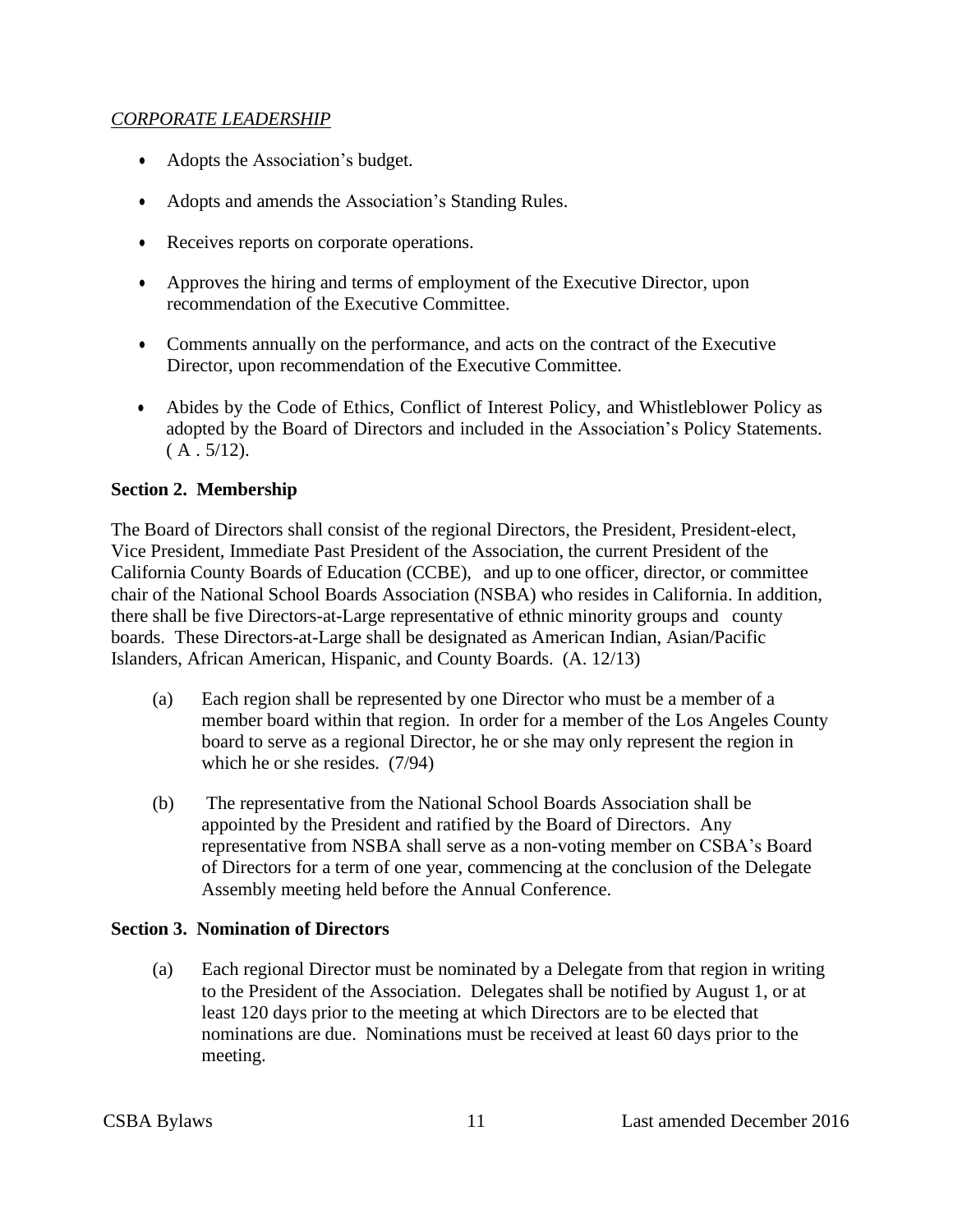#### *CORPORATE LEADERSHIP*

- Adopts the Association's budget.
- Adopts and amends the Association's Standing Rules.
- Receives reports on corporate operations.
- Approves the hiring and terms of employment of the Executive Director, upon recommendation of the Executive Committee.
- Comments annually on the performance, and acts on the contract of the Executive Director, upon recommendation of the Executive Committee.
- Abides by the Code of Ethics, Conflict of Interest Policy, and Whistleblower Policy as adopted by the Board of Directors and included in the Association's Policy Statements.  $(A.5/12).$

#### <span id="page-10-0"></span>**Section 2. Membership**

The Board of Directors shall consist of the regional Directors, the President, President-elect, Vice President, Immediate Past President of the Association, the current President of the California County Boards of Education (CCBE), and up to one officer, director, or committee chair of the National School Boards Association (NSBA) who resides in California. In addition, there shall be five Directors-at-Large representative of ethnic minority groups and county boards. These Directors-at-Large shall be designated as American Indian, Asian/Pacific Islanders, African American, Hispanic, and County Boards. (A. 12/13)

- (a) Each region shall be represented by one Director who must be a member of a member board within that region. In order for a member of the Los Angeles County board to serve as a regional Director, he or she may only represent the region in which he or she resides. (7/94)
- (b) The representative from the National School Boards Association shall be appointed by the President and ratified by the Board of Directors. Any representative from NSBA shall serve as a non-voting member on CSBA's Board of Directors for a term of one year, commencing at the conclusion of the Delegate Assembly meeting held before the Annual Conference.

#### <span id="page-10-1"></span>**Section 3. Nomination of Directors**

(a) Each regional Director must be nominated by a Delegate from that region in writing to the President of the Association. Delegates shall be notified by August 1, or at least 120 days prior to the meeting at which Directors are to be elected that nominations are due. Nominations must be received at least 60 days prior to the meeting.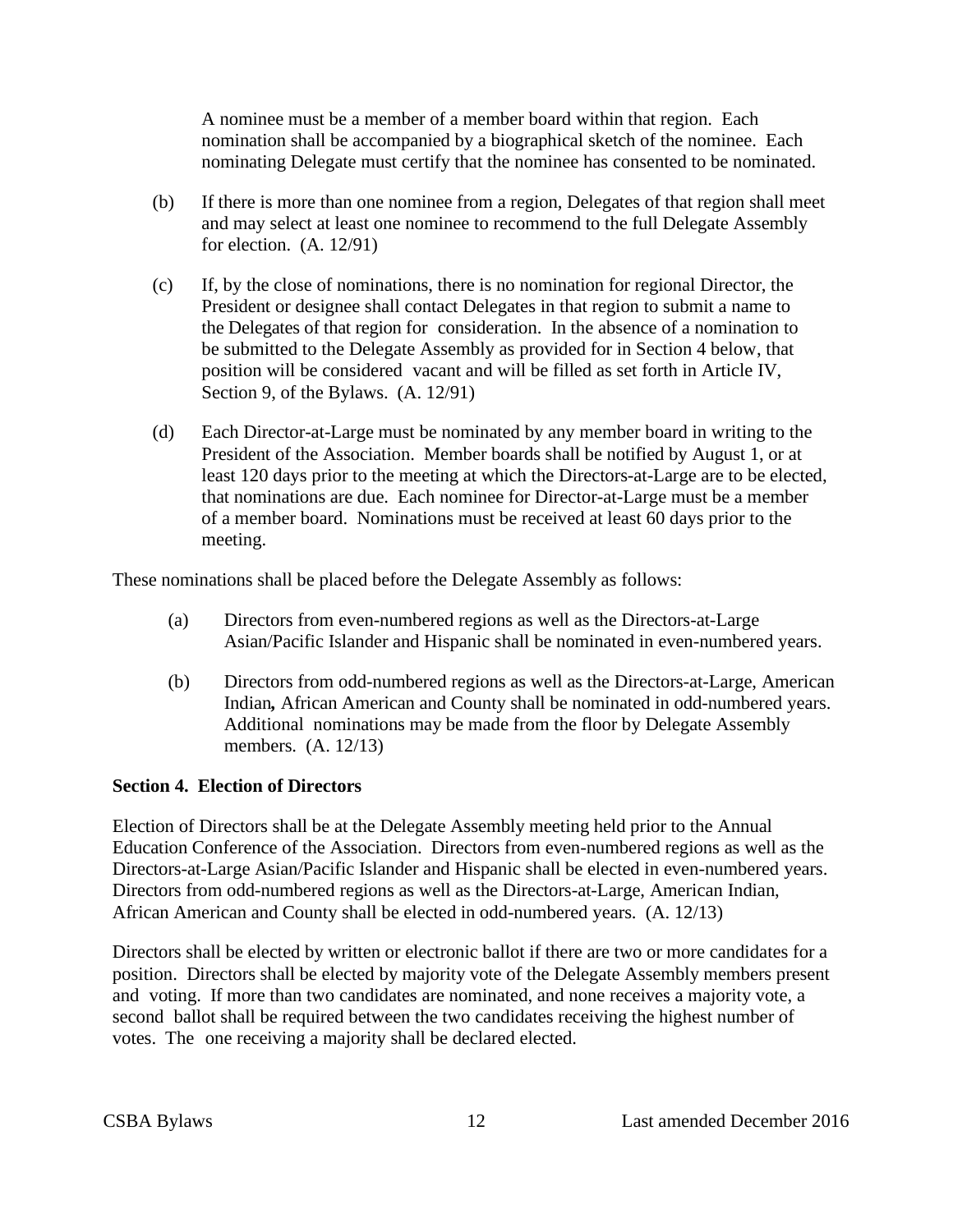A nominee must be a member of a member board within that region. Each nomination shall be accompanied by a biographical sketch of the nominee. Each nominating Delegate must certify that the nominee has consented to be nominated.

- (b) If there is more than one nominee from a region, Delegates of that region shall meet and may select at least one nominee to recommend to the full Delegate Assembly for election. (A. 12/91)
- (c) If, by the close of nominations, there is no nomination for regional Director, the President or designee shall contact Delegates in that region to submit a name to the Delegates of that region for consideration. In the absence of a nomination to be submitted to the Delegate Assembly as provided for in Section 4 below, that position will be considered vacant and will be filled as set forth in Article IV, Section 9, of the Bylaws. (A. 12/91)
- (d) Each Director-at-Large must be nominated by any member board in writing to the President of the Association. Member boards shall be notified by August 1, or at least 120 days prior to the meeting at which the Directors-at-Large are to be elected, that nominations are due. Each nominee for Director-at-Large must be a member of a member board. Nominations must be received at least 60 days prior to the meeting.

These nominations shall be placed before the Delegate Assembly as follows:

- (a) Directors from even-numbered regions as well as the Directors-at-Large Asian/Pacific Islander and Hispanic shall be nominated in even-numbered years.
- (b) Directors from odd-numbered regions as well as the Directors-at-Large, American Indian*,* African American and County shall be nominated in odd-numbered years. Additional nominations may be made from the floor by Delegate Assembly members. (A. 12/13)

#### <span id="page-11-0"></span>**Section 4. Election of Directors**

Election of Directors shall be at the Delegate Assembly meeting held prior to the Annual Education Conference of the Association. Directors from even-numbered regions as well as the Directors-at-Large Asian/Pacific Islander and Hispanic shall be elected in even-numbered years. Directors from odd-numbered regions as well as the Directors-at-Large, American Indian, African American and County shall be elected in odd-numbered years. (A. 12/13)

<span id="page-11-1"></span>Directors shall be elected by written or electronic ballot if there are two or more candidates for a position. Directors shall be elected by majority vote of the Delegate Assembly members present and voting. If more than two candidates are nominated, and none receives a majority vote, a second ballot shall be required between the two candidates receiving the highest number of votes. The one receiving a majority shall be declared elected.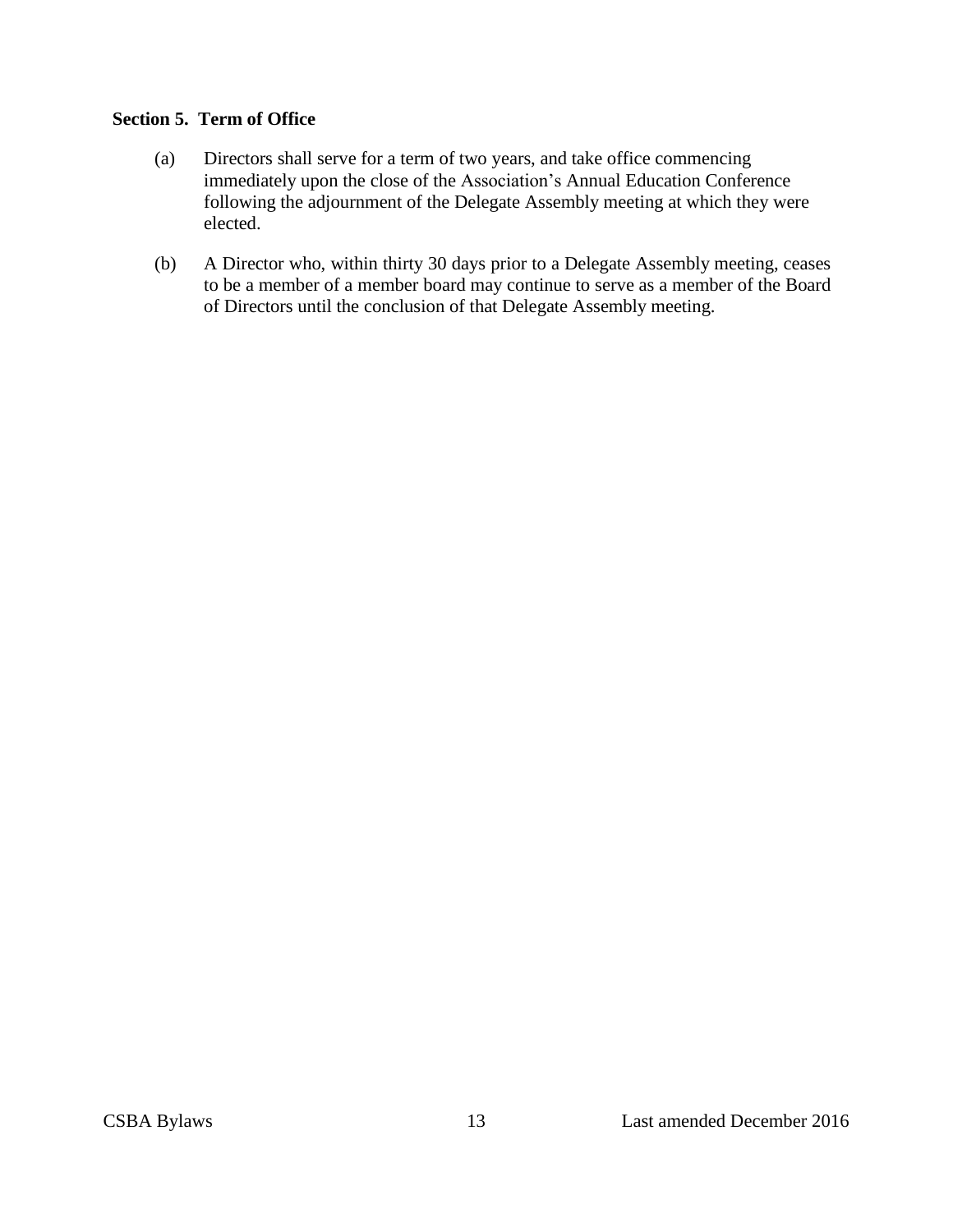#### **Section 5. Term of Office**

- (a) Directors shall serve for a term of two years, and take office commencing immediately upon the close of the Association's Annual Education Conference following the adjournment of the Delegate Assembly meeting at which they were elected.
- (b) A Director who, within thirty 30 days prior to a Delegate Assembly meeting, ceases to be a member of a member board may continue to serve as a member of the Board of Directors until the conclusion of that Delegate Assembly meeting.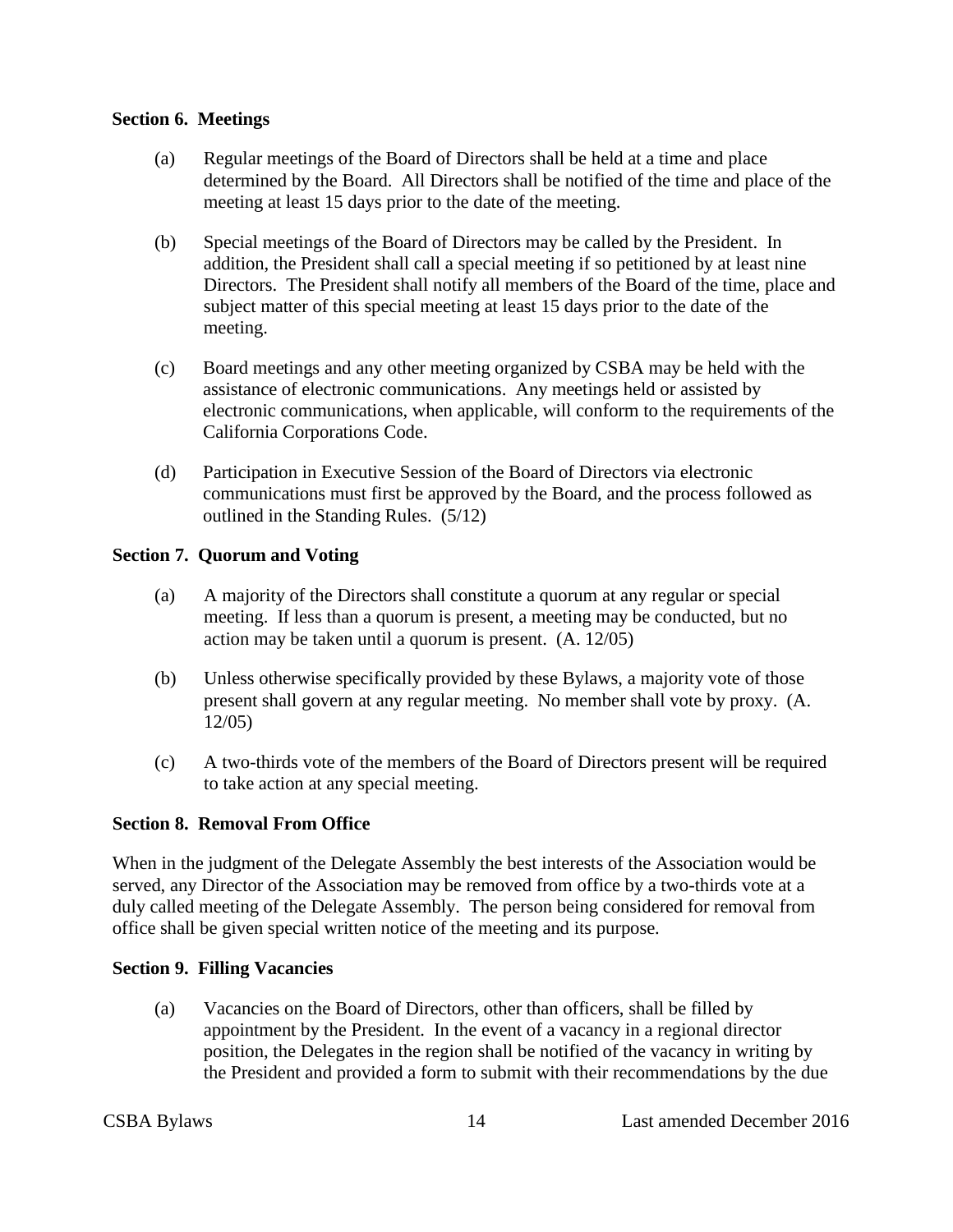#### <span id="page-13-0"></span>**Section 6. Meetings**

- (a) Regular meetings of the Board of Directors shall be held at a time and place determined by the Board. All Directors shall be notified of the time and place of the meeting at least 15 days prior to the date of the meeting.
- (b) Special meetings of the Board of Directors may be called by the President. In addition, the President shall call a special meeting if so petitioned by at least nine Directors. The President shall notify all members of the Board of the time, place and subject matter of this special meeting at least 15 days prior to the date of the meeting.
- (c) Board meetings and any other meeting organized by CSBA may be held with the assistance of electronic communications. Any meetings held or assisted by electronic communications, when applicable, will conform to the requirements of the California Corporations Code.
- (d) Participation in Executive Session of the Board of Directors via electronic communications must first be approved by the Board, and the process followed as outlined in the Standing Rules. (5/12)

#### <span id="page-13-1"></span>**Section 7. Quorum and Voting**

- (a) A majority of the Directors shall constitute a quorum at any regular or special meeting. If less than a quorum is present, a meeting may be conducted, but no action may be taken until a quorum is present. (A. 12/05)
- (b) Unless otherwise specifically provided by these Bylaws, a majority vote of those present shall govern at any regular meeting. No member shall vote by proxy. (A. 12/05)
- (c) A two-thirds vote of the members of the Board of Directors present will be required to take action at any special meeting.

#### <span id="page-13-2"></span>**Section 8. Removal From Office**

When in the judgment of the Delegate Assembly the best interests of the Association would be served, any Director of the Association may be removed from office by a two-thirds vote at a duly called meeting of the Delegate Assembly. The person being considered for removal from office shall be given special written notice of the meeting and its purpose.

#### <span id="page-13-3"></span>**Section 9. Filling Vacancies**

(a) Vacancies on the Board of Directors, other than officers, shall be filled by appointment by the President. In the event of a vacancy in a regional director position, the Delegates in the region shall be notified of the vacancy in writing by the President and provided a form to submit with their recommendations by the due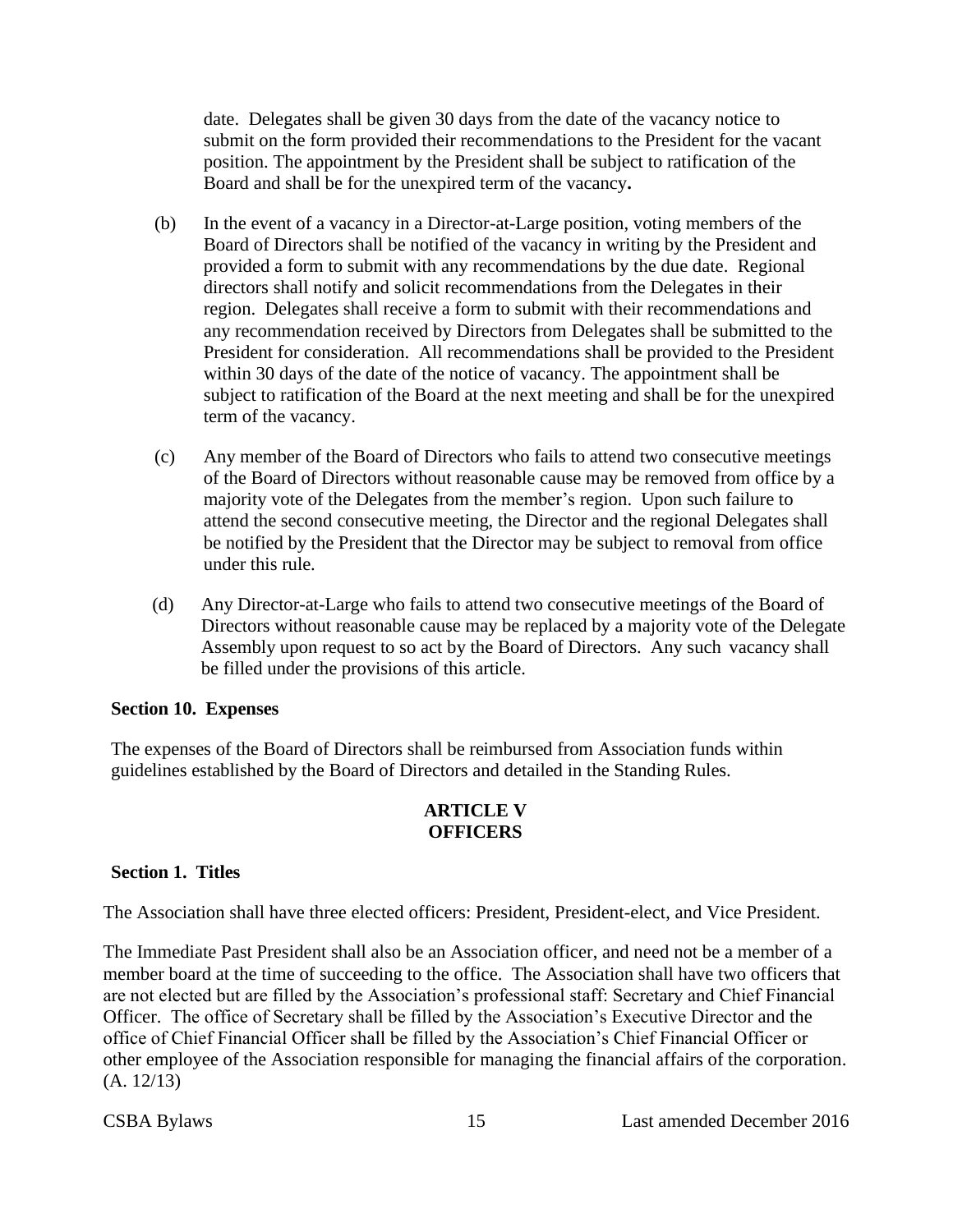date. Delegates shall be given 30 days from the date of the vacancy notice to submit on the form provided their recommendations to the President for the vacant position. The appointment by the President shall be subject to ratification of the Board and shall be for the unexpired term of the vacancy**.**

- (b) In the event of a vacancy in a Director-at-Large position, voting members of the Board of Directors shall be notified of the vacancy in writing by the President and provided a form to submit with any recommendations by the due date. Regional directors shall notify and solicit recommendations from the Delegates in their region. Delegates shall receive a form to submit with their recommendations and any recommendation received by Directors from Delegates shall be submitted to the President for consideration. All recommendations shall be provided to the President within 30 days of the date of the notice of vacancy. The appointment shall be subject to ratification of the Board at the next meeting and shall be for the unexpired term of the vacancy.
- (c) Any member of the Board of Directors who fails to attend two consecutive meetings of the Board of Directors without reasonable cause may be removed from office by a majority vote of the Delegates from the member's region. Upon such failure to attend the second consecutive meeting, the Director and the regional Delegates shall be notified by the President that the Director may be subject to removal from office under this rule.
- (d) Any Director-at-Large who fails to attend two consecutive meetings of the Board of Directors without reasonable cause may be replaced by a majority vote of the Delegate Assembly upon request to so act by the Board of Directors. Any such vacancy shall be filled under the provisions of this article.

#### <span id="page-14-0"></span>**Section 10. Expenses**

<span id="page-14-1"></span>The expenses of the Board of Directors shall be reimbursed from Association funds within guidelines established by the Board of Directors and detailed in the Standing Rules.

#### **ARTICLE V OFFICERS**

#### <span id="page-14-2"></span>**Section 1. Titles**

The Association shall have three elected officers: President, President-elect, and Vice President.

The Immediate Past President shall also be an Association officer, and need not be a member of a member board at the time of succeeding to the office. The Association shall have two officers that are not elected but are filled by the Association's professional staff: Secretary and Chief Financial Officer. The office of Secretary shall be filled by the Association's Executive Director and the office of Chief Financial Officer shall be filled by the Association's Chief Financial Officer or other employee of the Association responsible for managing the financial affairs of the corporation. (A. 12/13)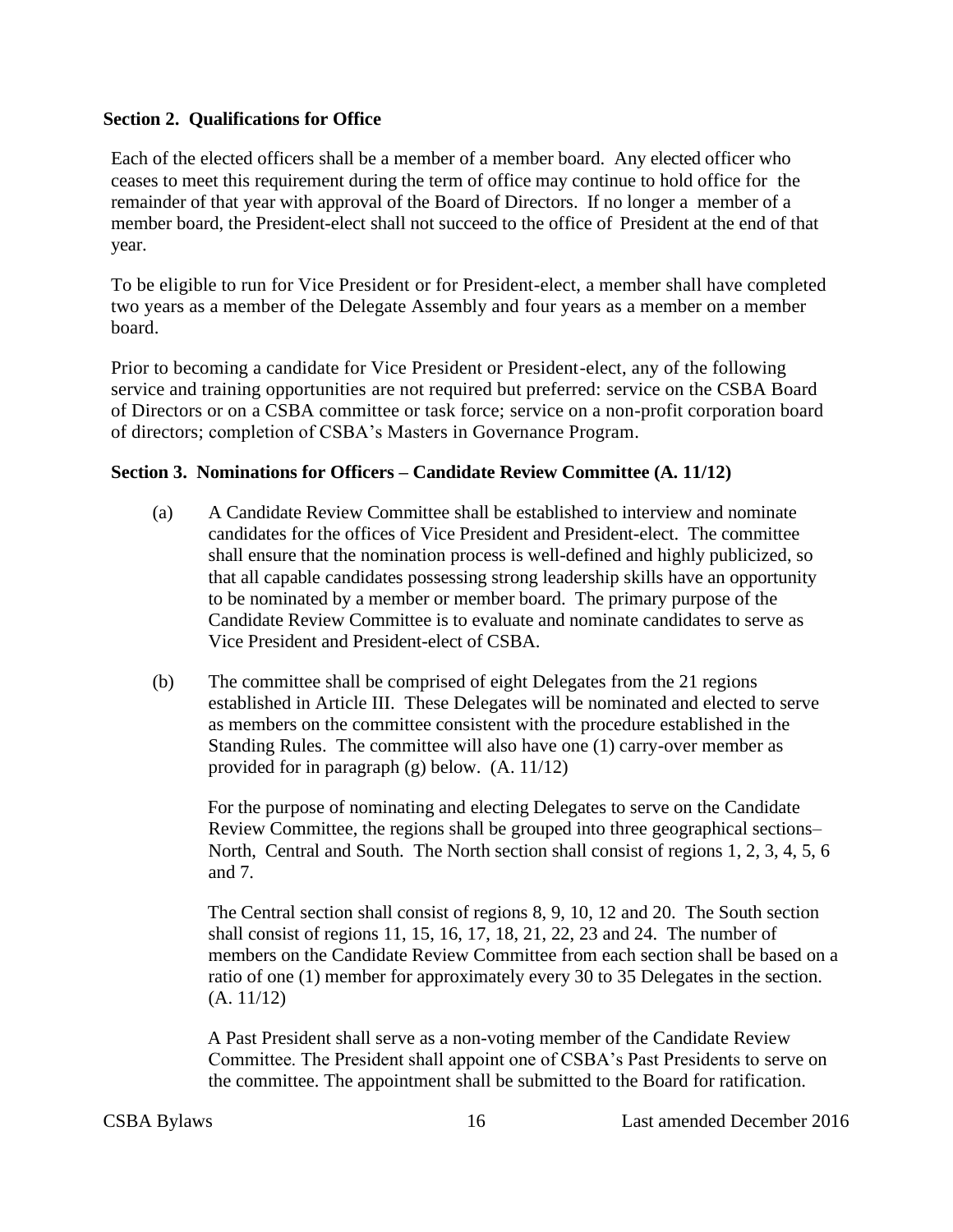#### <span id="page-15-0"></span>**Section 2. Qualifications for Office**

Each of the elected officers shall be a member of a member board. Any elected officer who ceases to meet this requirement during the term of office may continue to hold office for the remainder of that year with approval of the Board of Directors. If no longer a member of a member board, the President-elect shall not succeed to the office of President at the end of that year.

To be eligible to run for Vice President or for President-elect, a member shall have completed two years as a member of the Delegate Assembly and four years as a member on a member board.

Prior to becoming a candidate for Vice President or President-elect, any of the following service and training opportunities are not required but preferred: service on the CSBA Board of Directors or on a CSBA committee or task force; service on a non-profit corporation board of directors; completion of CSBA's Masters in Governance Program.

#### <span id="page-15-1"></span>**Section 3. Nominations for Officers – Candidate Review Committee (A. 11/12)**

- (a) A Candidate Review Committee shall be established to interview and nominate candidates for the offices of Vice President and President-elect. The committee shall ensure that the nomination process is well-defined and highly publicized, so that all capable candidates possessing strong leadership skills have an opportunity to be nominated by a member or member board. The primary purpose of the Candidate Review Committee is to evaluate and nominate candidates to serve as Vice President and President-elect of CSBA.
- (b) The committee shall be comprised of eight Delegates from the 21 regions established in Article III. These Delegates will be nominated and elected to serve as members on the committee consistent with the procedure established in the Standing Rules. The committee will also have one (1) carry-over member as provided for in paragraph (g) below. (A. 11/12)

For the purpose of nominating and electing Delegates to serve on the Candidate Review Committee, the regions shall be grouped into three geographical sections– North, Central and South. The North section shall consist of regions 1, 2, 3, 4, 5, 6 and 7.

The Central section shall consist of regions 8, 9, 10, 12 and 20. The South section shall consist of regions 11, 15, 16, 17, 18, 21, 22, 23 and 24. The number of members on the Candidate Review Committee from each section shall be based on a ratio of one (1) member for approximately every 30 to 35 Delegates in the section. (A. 11/12)

A Past President shall serve as a non-voting member of the Candidate Review Committee. The President shall appoint one of CSBA's Past Presidents to serve on the committee. The appointment shall be submitted to the Board for ratification.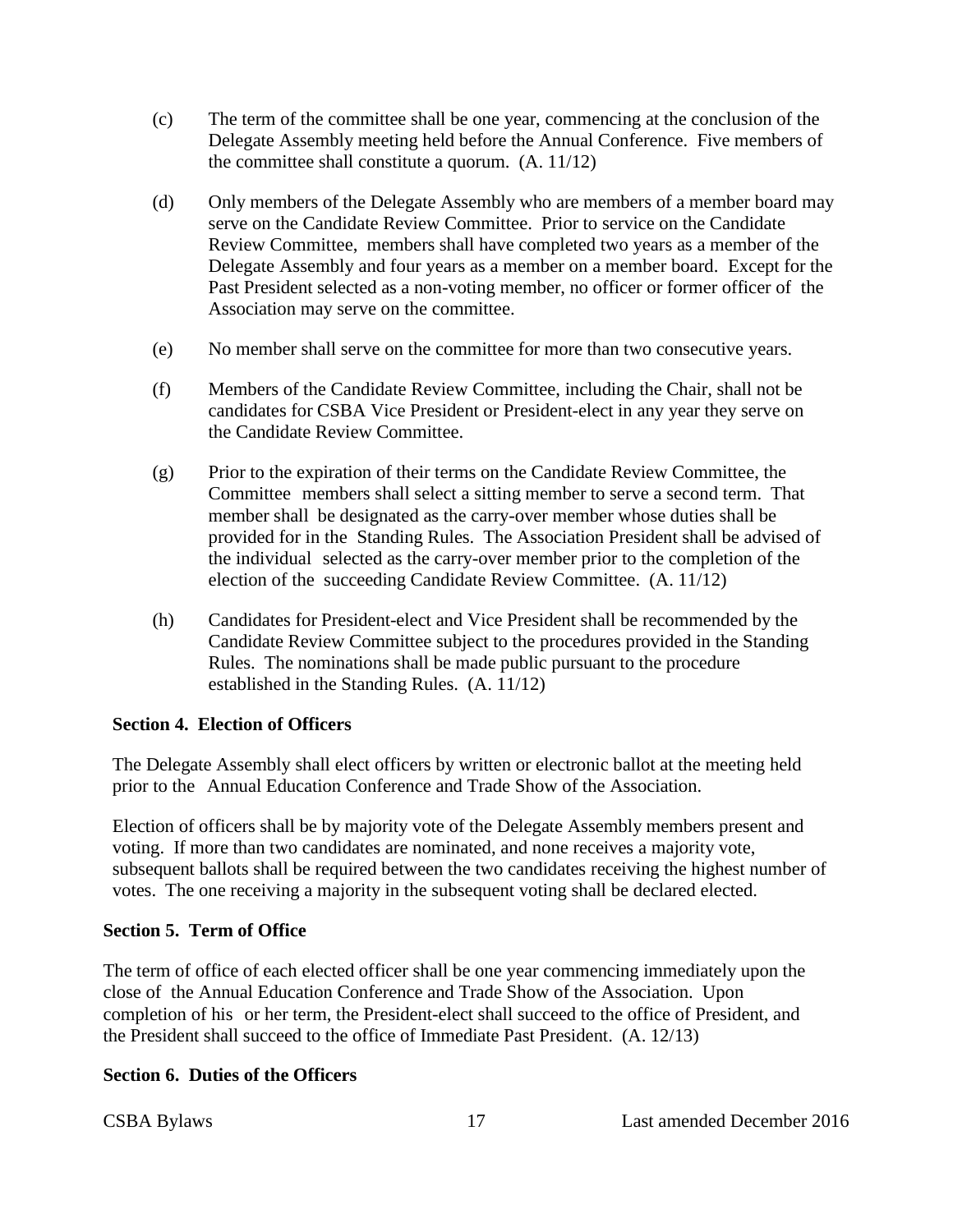- (c) The term of the committee shall be one year, commencing at the conclusion of the Delegate Assembly meeting held before the Annual Conference. Five members of the committee shall constitute a quorum. (A. 11/12)
- (d) Only members of the Delegate Assembly who are members of a member board may serve on the Candidate Review Committee. Prior to service on the Candidate Review Committee, members shall have completed two years as a member of the Delegate Assembly and four years as a member on a member board. Except for the Past President selected as a non-voting member, no officer or former officer of the Association may serve on the committee.
- (e) No member shall serve on the committee for more than two consecutive years.
- (f) Members of the Candidate Review Committee, including the Chair, shall not be candidates for CSBA Vice President or President-elect in any year they serve on the Candidate Review Committee.
- (g) Prior to the expiration of their terms on the Candidate Review Committee, the Committee members shall select a sitting member to serve a second term. That member shall be designated as the carry-over member whose duties shall be provided for in the Standing Rules. The Association President shall be advised of the individual selected as the carry-over member prior to the completion of the election of the succeeding Candidate Review Committee. (A. 11/12)
- (h) Candidates for President-elect and Vice President shall be recommended by the Candidate Review Committee subject to the procedures provided in the Standing Rules. The nominations shall be made public pursuant to the procedure established in the Standing Rules. (A. 11/12)

#### <span id="page-16-0"></span>**Section 4. Election of Officers**

The Delegate Assembly shall elect officers by written or electronic ballot at the meeting held prior to the Annual Education Conference and Trade Show of the Association.

Election of officers shall be by majority vote of the Delegate Assembly members present and voting. If more than two candidates are nominated, and none receives a majority vote, subsequent ballots shall be required between the two candidates receiving the highest number of votes. The one receiving a majority in the subsequent voting shall be declared elected.

#### <span id="page-16-1"></span>**Section 5. Term of Office**

The term of office of each elected officer shall be one year commencing immediately upon the close of the Annual Education Conference and Trade Show of the Association. Upon completion of his or her term, the President-elect shall succeed to the office of President, and the President shall succeed to the office of Immediate Past President. (A. 12/13)

#### <span id="page-16-2"></span>**Section 6. Duties of the Officers**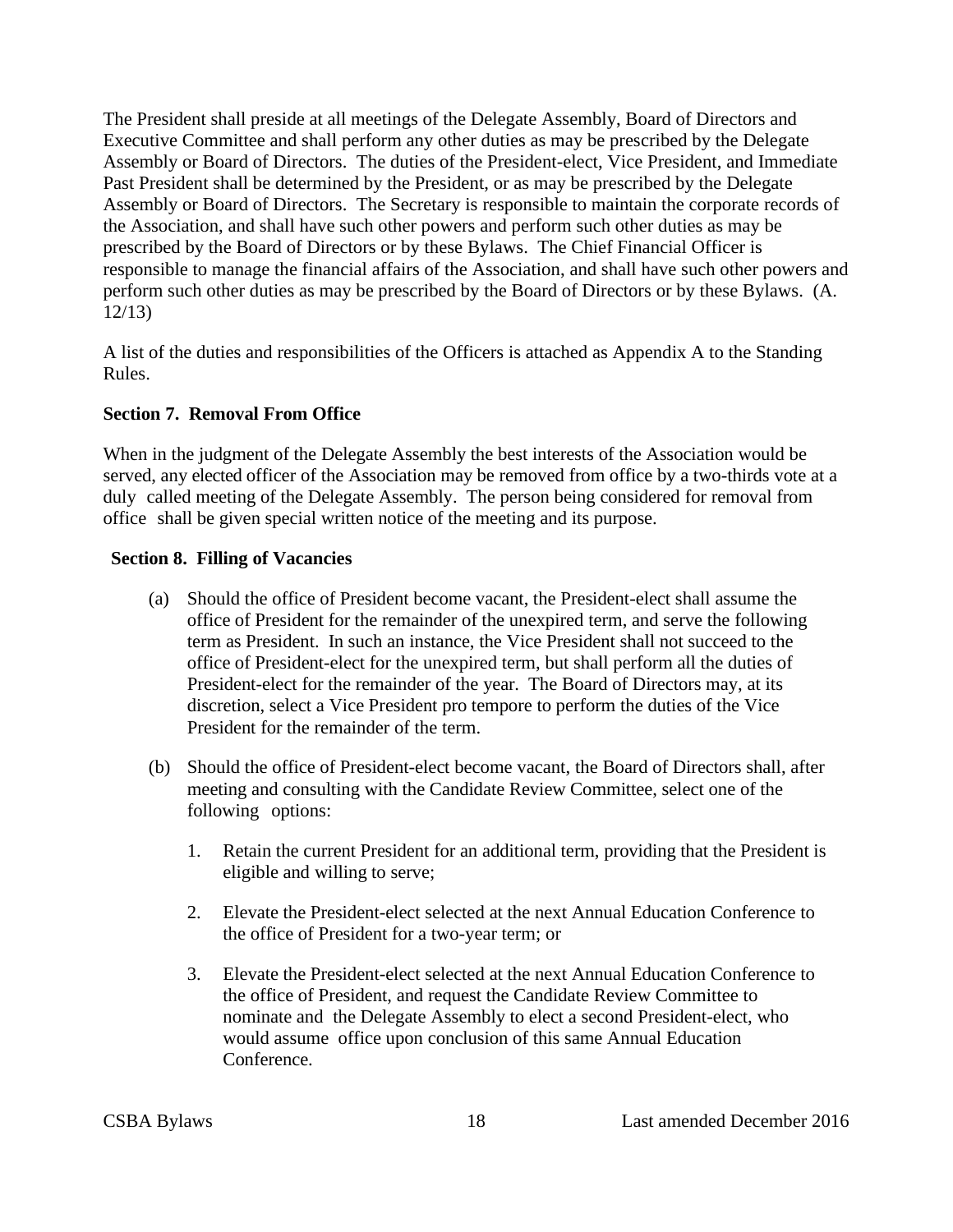The President shall preside at all meetings of the Delegate Assembly, Board of Directors and Executive Committee and shall perform any other duties as may be prescribed by the Delegate Assembly or Board of Directors. The duties of the President-elect, Vice President, and Immediate Past President shall be determined by the President, or as may be prescribed by the Delegate Assembly or Board of Directors. The Secretary is responsible to maintain the corporate records of the Association, and shall have such other powers and perform such other duties as may be prescribed by the Board of Directors or by these Bylaws. The Chief Financial Officer is responsible to manage the financial affairs of the Association, and shall have such other powers and perform such other duties as may be prescribed by the Board of Directors or by these Bylaws. (A. 12/13)

A list of the duties and responsibilities of the Officers is attached as Appendix A to the Standing Rules.

#### <span id="page-17-0"></span>**Section 7. Removal From Office**

When in the judgment of the Delegate Assembly the best interests of the Association would be served, any elected officer of the Association may be removed from office by a two-thirds vote at a duly called meeting of the Delegate Assembly. The person being considered for removal from office shall be given special written notice of the meeting and its purpose.

#### <span id="page-17-1"></span>**Section 8. Filling of Vacancies**

- (a) Should the office of President become vacant, the President-elect shall assume the office of President for the remainder of the unexpired term, and serve the following term as President. In such an instance, the Vice President shall not succeed to the office of President-elect for the unexpired term, but shall perform all the duties of President-elect for the remainder of the year. The Board of Directors may, at its discretion, select a Vice President pro tempore to perform the duties of the Vice President for the remainder of the term.
- (b) Should the office of President-elect become vacant, the Board of Directors shall, after meeting and consulting with the Candidate Review Committee, select one of the following options:
	- 1. Retain the current President for an additional term, providing that the President is eligible and willing to serve;
	- 2. Elevate the President-elect selected at the next Annual Education Conference to the office of President for a two-year term; or
	- 3. Elevate the President-elect selected at the next Annual Education Conference to the office of President, and request the Candidate Review Committee to nominate and the Delegate Assembly to elect a second President-elect, who would assume office upon conclusion of this same Annual Education Conference.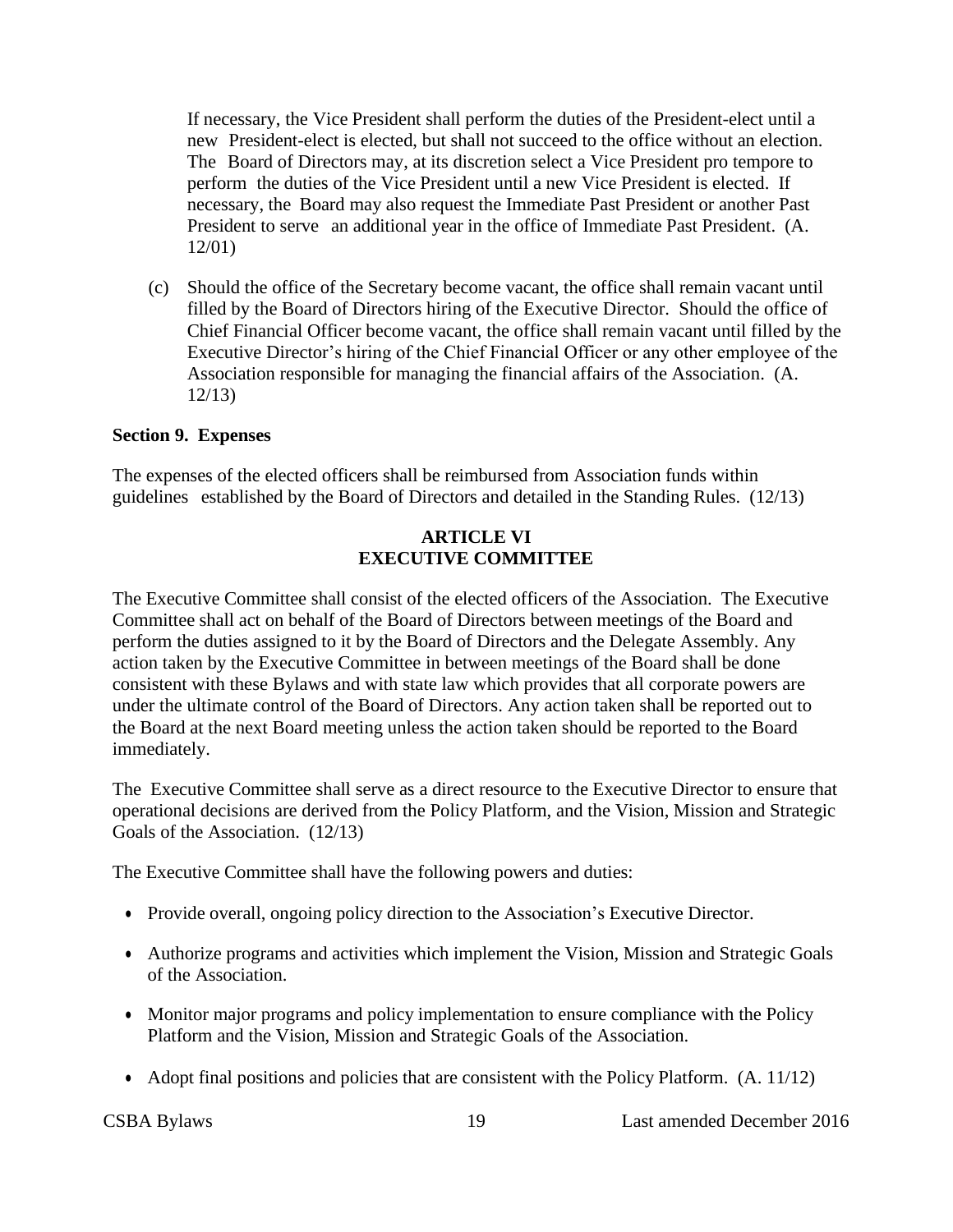If necessary, the Vice President shall perform the duties of the President-elect until a new President-elect is elected, but shall not succeed to the office without an election. The Board of Directors may, at its discretion select a Vice President pro tempore to perform the duties of the Vice President until a new Vice President is elected. If necessary, the Board may also request the Immediate Past President or another Past President to serve an additional year in the office of Immediate Past President. (A. 12/01)

(c) Should the office of the Secretary become vacant, the office shall remain vacant until filled by the Board of Directors hiring of the Executive Director. Should the office of Chief Financial Officer become vacant, the office shall remain vacant until filled by the Executive Director's hiring of the Chief Financial Officer or any other employee of the Association responsible for managing the financial affairs of the Association. (A. 12/13)

#### <span id="page-18-0"></span>**Section 9. Expenses**

<span id="page-18-1"></span>The expenses of the elected officers shall be reimbursed from Association funds within guidelines established by the Board of Directors and detailed in the Standing Rules. (12/13)

#### **ARTICLE VI EXECUTIVE COMMITTEE**

The Executive Committee shall consist of the elected officers of the Association. The Executive Committee shall act on behalf of the Board of Directors between meetings of the Board and perform the duties assigned to it by the Board of Directors and the Delegate Assembly. Any action taken by the Executive Committee in between meetings of the Board shall be done consistent with these Bylaws and with state law which provides that all corporate powers are under the ultimate control of the Board of Directors. Any action taken shall be reported out to the Board at the next Board meeting unless the action taken should be reported to the Board immediately.

The Executive Committee shall serve as a direct resource to the Executive Director to ensure that operational decisions are derived from the Policy Platform, and the Vision, Mission and Strategic Goals of the Association. (12/13)

The Executive Committee shall have the following powers and duties:

- Provide overall, ongoing policy direction to the Association's Executive Director.
- Authorize programs and activities which implement the Vision, Mission and Strategic Goals of the Association.
- Monitor major programs and policy implementation to ensure compliance with the Policy Platform and the Vision, Mission and Strategic Goals of the Association.
- Adopt final positions and policies that are consistent with the Policy Platform. (A. 11/12)

CSBA Bylaws 19 Last amended December 2016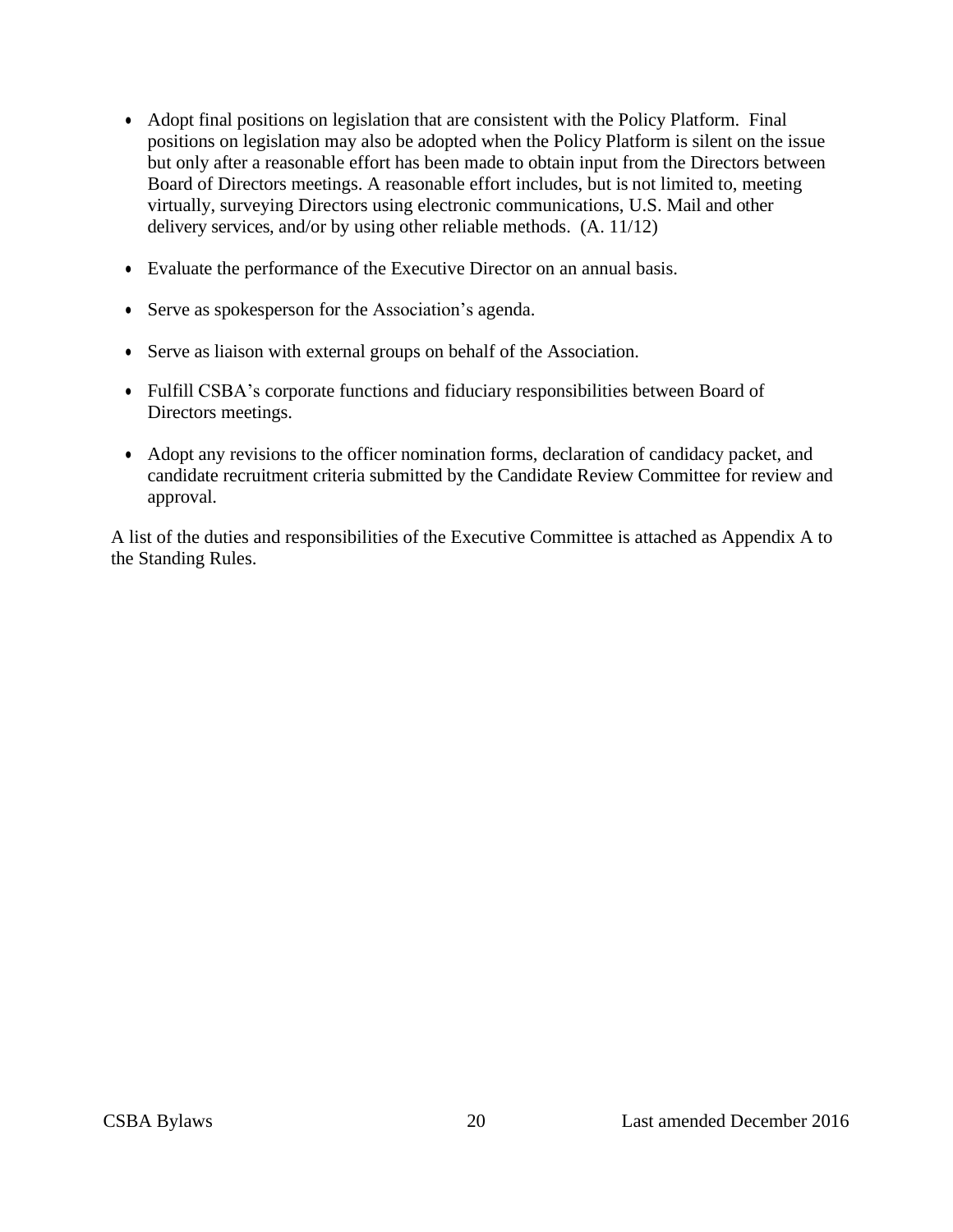- Adopt final positions on legislation that are consistent with the Policy Platform. Final positions on legislation may also be adopted when the Policy Platform is silent on the issue but only after a reasonable effort has been made to obtain input from the Directors between Board of Directors meetings. A reasonable effort includes, but is not limited to, meeting virtually, surveying Directors using electronic communications, U.S. Mail and other delivery services, and/or by using other reliable methods. (A. 11/12)
- Evaluate the performance of the Executive Director on an annual basis.
- Serve as spokesperson for the Association's agenda.
- Serve as liaison with external groups on behalf of the Association.
- Fulfill CSBA's corporate functions and fiduciary responsibilities between Board of Directors meetings.
- Adopt any revisions to the officer nomination forms, declaration of candidacy packet, and candidate recruitment criteria submitted by the Candidate Review Committee for review and approval.

A list of the duties and responsibilities of the Executive Committee is attached as Appendix A to the Standing Rules.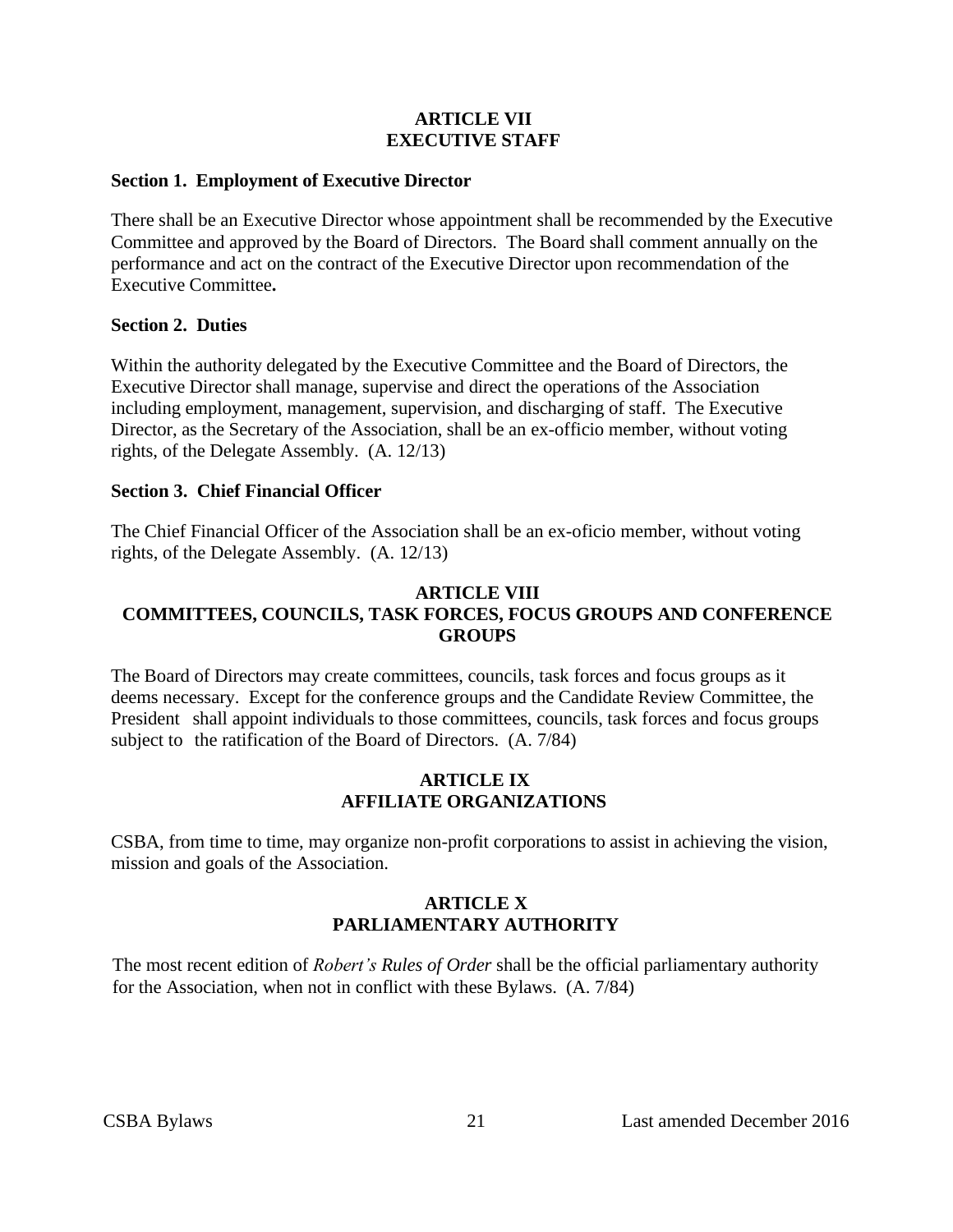#### **ARTICLE VII EXECUTIVE STAFF**

#### <span id="page-20-1"></span><span id="page-20-0"></span>**Section 1. Employment of Executive Director**

There shall be an Executive Director whose appointment shall be recommended by the Executive Committee and approved by the Board of Directors. The Board shall comment annually on the performance and act on the contract of the Executive Director upon recommendation of the Executive Committee**.**

#### <span id="page-20-2"></span>**Section 2. Duties**

Within the authority delegated by the Executive Committee and the Board of Directors, the Executive Director shall manage, supervise and direct the operations of the Association including employment, management, supervision, and discharging of staff. The Executive Director, as the Secretary of the Association, shall be an ex-officio member, without voting rights, of the Delegate Assembly. (A. 12/13)

#### <span id="page-20-3"></span>**Section 3. Chief Financial Officer**

The Chief Financial Officer of the Association shall be an ex-oficio member, without voting rights, of the Delegate Assembly. (A. 12/13)

#### <span id="page-20-4"></span>**ARTICLE VIII COMMITTEES, COUNCILS, TASK FORCES, FOCUS GROUPS AND CONFERENCE GROUPS**

The Board of Directors may create committees, councils, task forces and focus groups as it deems necessary. Except for the conference groups and the Candidate Review Committee, the President shall appoint individuals to those committees, councils, task forces and focus groups subject to the ratification of the Board of Directors. (A. 7/84)

#### **ARTICLE IX AFFILIATE ORGANIZATIONS**

<span id="page-20-6"></span><span id="page-20-5"></span>CSBA, from time to time, may organize non-profit corporations to assist in achieving the vision, mission and goals of the Association.

#### **ARTICLE X PARLIAMENTARY AUTHORITY**

The most recent edition of *Robert's Rules of Order* shall be the official parliamentary authority for the Association, when not in conflict with these Bylaws. (A. 7/84)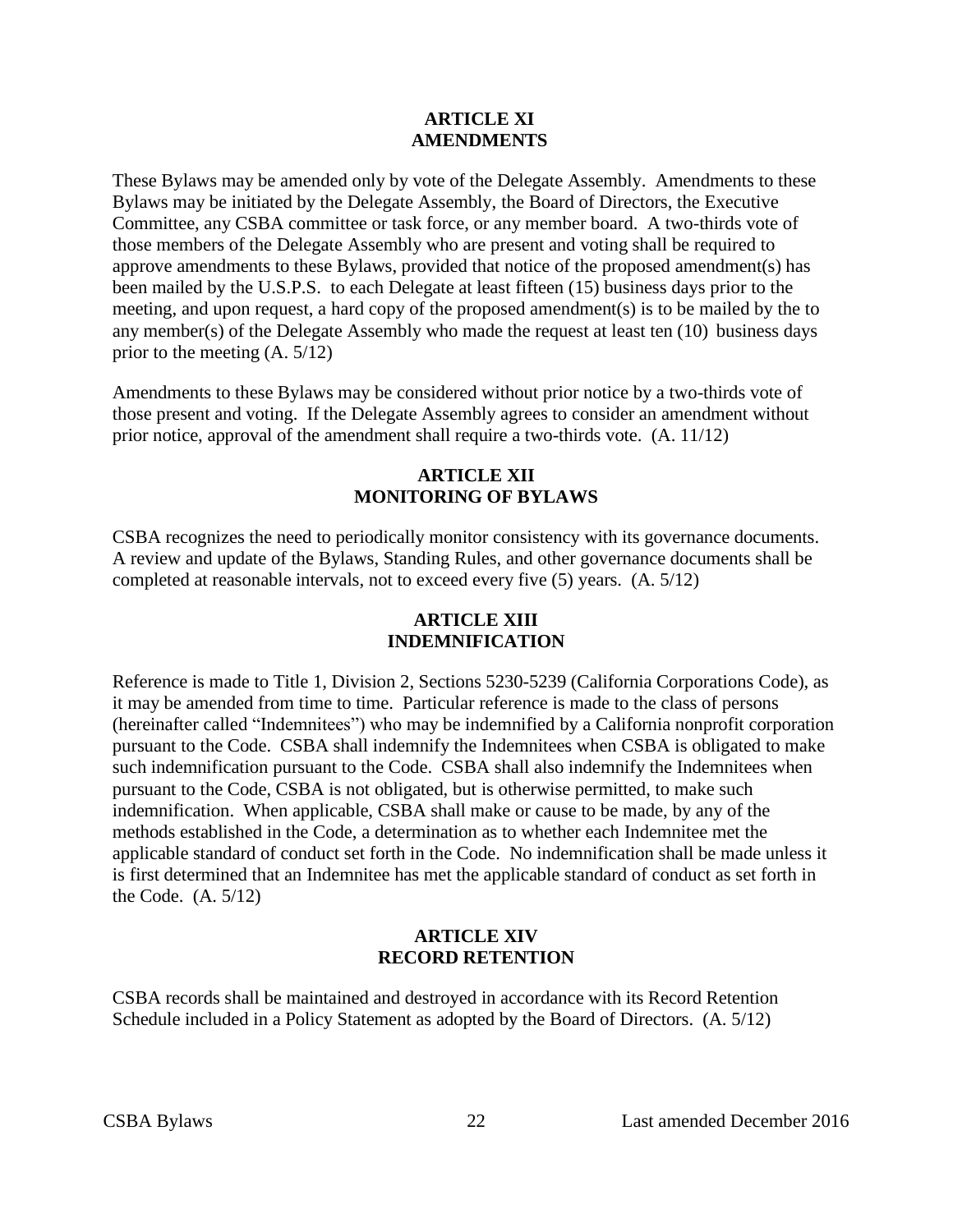#### **ARTICLE XI AMENDMENTS**

<span id="page-21-0"></span>These Bylaws may be amended only by vote of the Delegate Assembly. Amendments to these Bylaws may be initiated by the Delegate Assembly, the Board of Directors, the Executive Committee, any CSBA committee or task force, or any member board. A two-thirds vote of those members of the Delegate Assembly who are present and voting shall be required to approve amendments to these Bylaws, provided that notice of the proposed amendment(s) has been mailed by the U.S.P.S. to each Delegate at least fifteen (15) business days prior to the meeting, and upon request, a hard copy of the proposed amendment(s) is to be mailed by the to any member(s) of the Delegate Assembly who made the request at least ten (10) business days prior to the meeting (A. 5/12)

Amendments to these Bylaws may be considered without prior notice by a two-thirds vote of those present and voting. If the Delegate Assembly agrees to consider an amendment without prior notice, approval of the amendment shall require a two-thirds vote. (A. 11/12)

#### **ARTICLE XII MONITORING OF BYLAWS**

<span id="page-21-1"></span>CSBA recognizes the need to periodically monitor consistency with its governance documents. A review and update of the Bylaws, Standing Rules, and other governance documents shall be completed at reasonable intervals, not to exceed every five (5) years. (A. 5/12)

#### **ARTICLE XIII INDEMNIFICATION**

<span id="page-21-2"></span>Reference is made to Title 1, Division 2, Sections 5230-5239 (California Corporations Code), as it may be amended from time to time. Particular reference is made to the class of persons (hereinafter called "Indemnitees") who may be indemnified by a California nonprofit corporation pursuant to the Code. CSBA shall indemnify the Indemnitees when CSBA is obligated to make such indemnification pursuant to the Code. CSBA shall also indemnify the Indemnitees when pursuant to the Code, CSBA is not obligated, but is otherwise permitted, to make such indemnification. When applicable, CSBA shall make or cause to be made, by any of the methods established in the Code, a determination as to whether each Indemnitee met the applicable standard of conduct set forth in the Code. No indemnification shall be made unless it is first determined that an Indemnitee has met the applicable standard of conduct as set forth in the Code. (A. 5/12)

#### **ARTICLE XIV RECORD RETENTION**

<span id="page-21-3"></span>CSBA records shall be maintained and destroyed in accordance with its Record Retention Schedule included in a Policy Statement as adopted by the Board of Directors. (A. 5/12)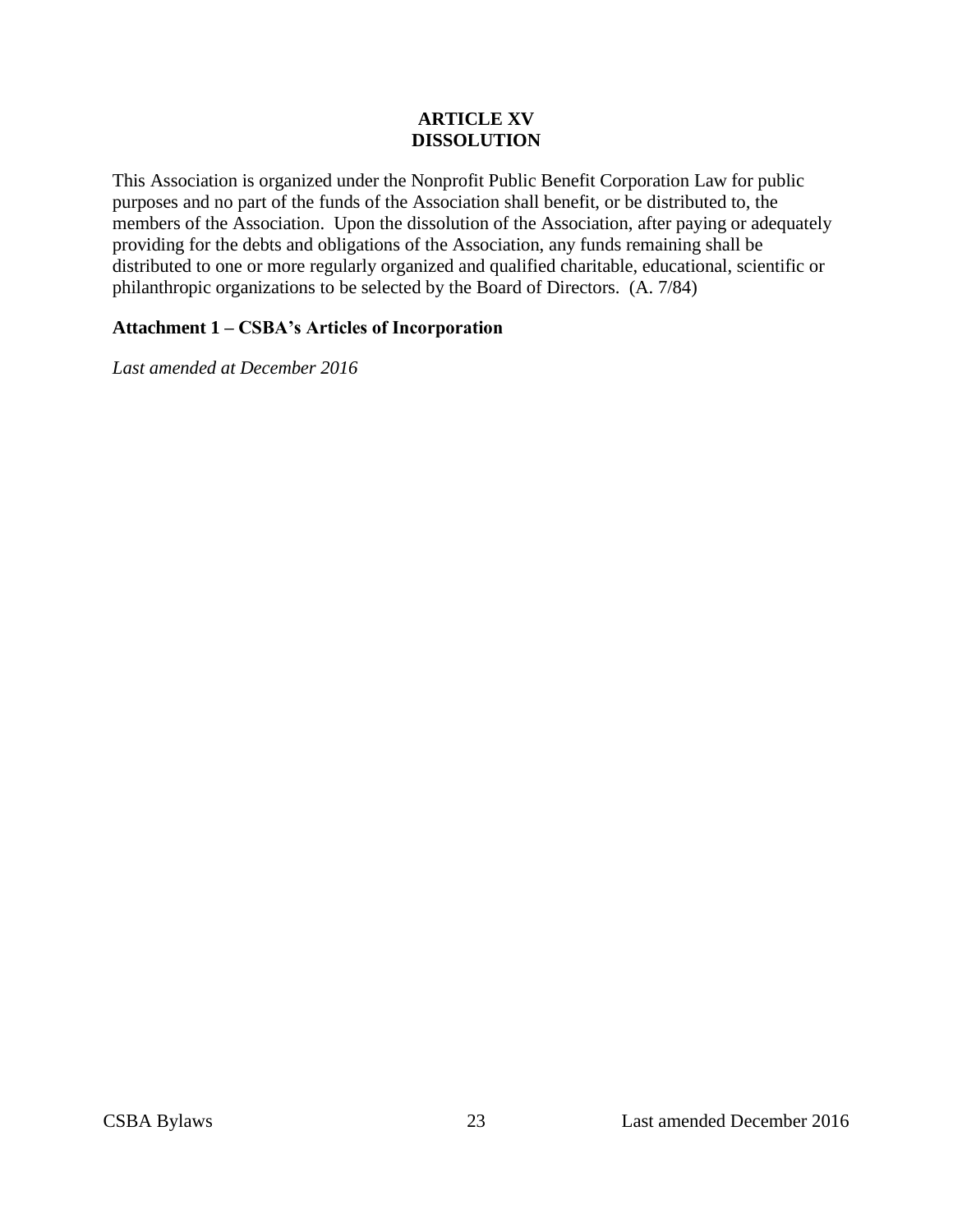#### **ARTICLE XV DISSOLUTION**

<span id="page-22-0"></span>This Association is organized under the Nonprofit Public Benefit Corporation Law for public purposes and no part of the funds of the Association shall benefit, or be distributed to, the members of the Association. Upon the dissolution of the Association, after paying or adequately providing for the debts and obligations of the Association, any funds remaining shall be distributed to one or more regularly organized and qualified charitable, educational, scientific or philanthropic organizations to be selected by the Board of Directors. (A. 7/84)

#### **Attachment 1 – CSBA's Articles of Incorporation**

*Last amended at December 2016*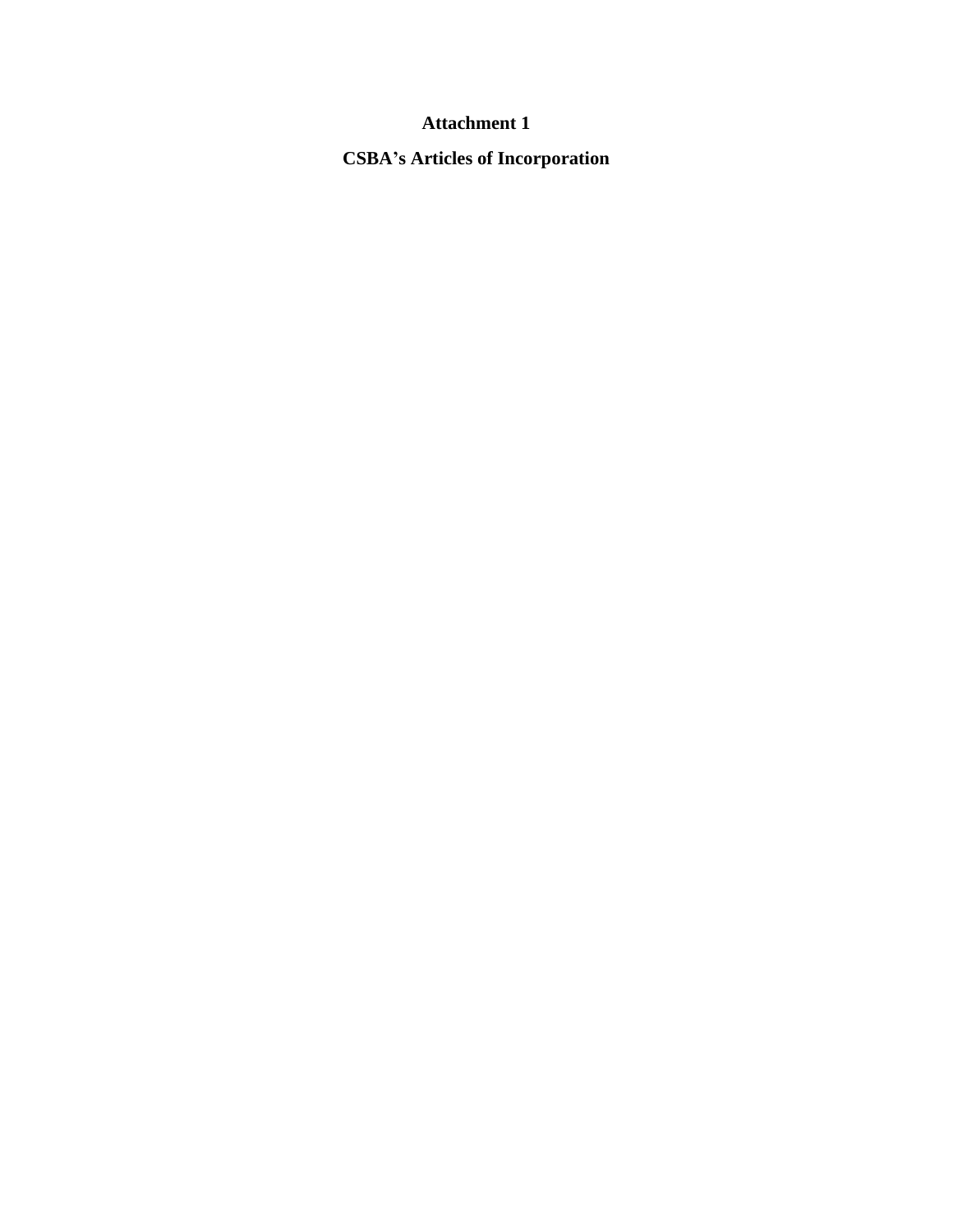## **Attachment 1**

**CSBA's Articles of Incorporation**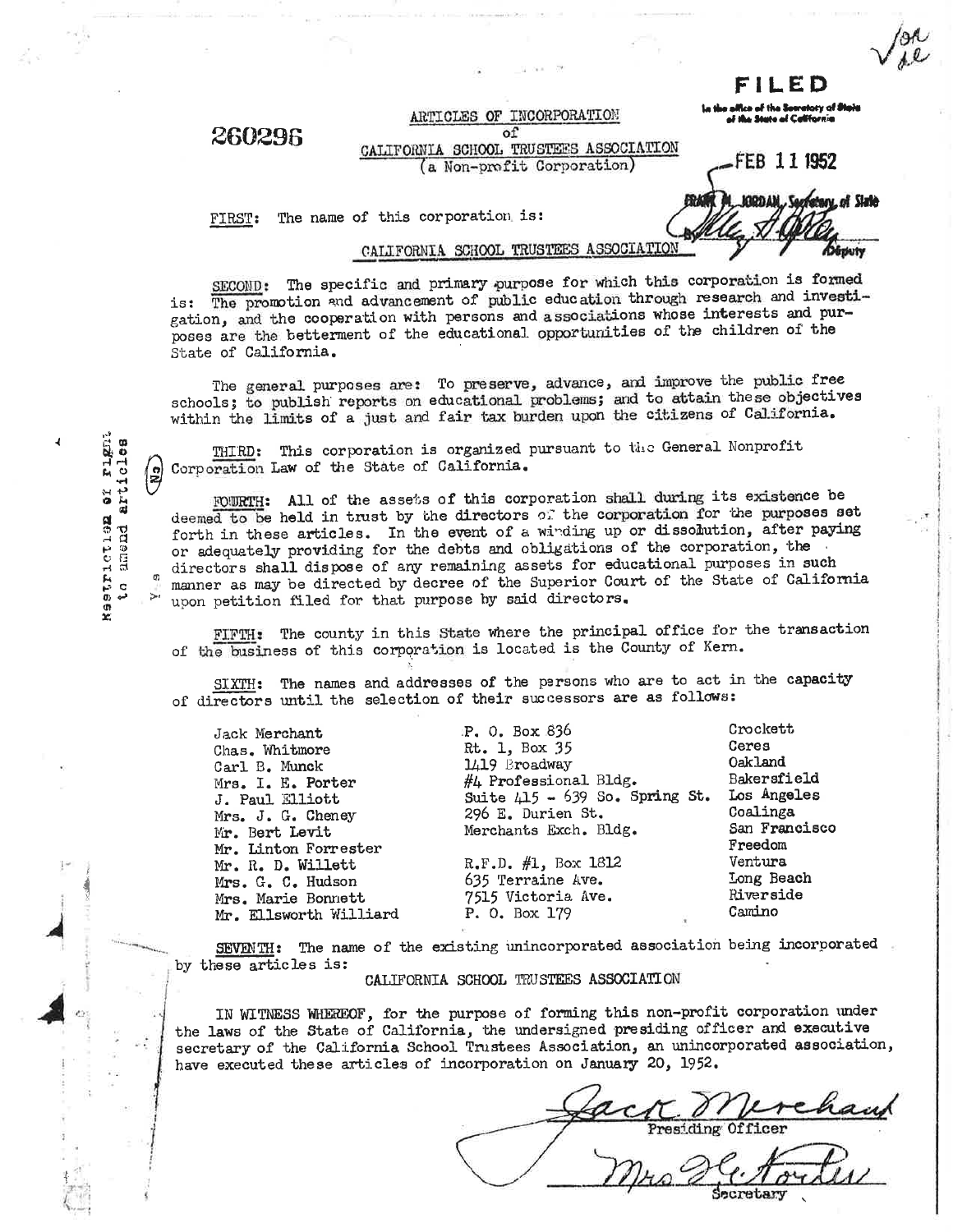FILED

#### 260296

ARTICLES OF INCORPORATION of CALIFORNIA SCHOOL TRUSTEES ASSOCIATION (a Non-profit Corporation)

of the Sc toty of **Stait** 

FEB 111952

KADDAM

Secretary of Slate

Députy

The name of this corporation is: FIRST:

#### CALIFORNIA SCHOOL TRUSTEES ASSOCIATION

SECOND: The specific and primary purpose for which this corporation is formed The promotion and advancement of public education through research and investiis: gation, and the cooperation with persons and associations whose interests and purposes are the betterment of the educational opportunities of the children of the State of California.

The general purposes are: To preserve, advance, and improve the public free schools; to publish reports on educational problems; and to attain these objectives within the limits of a just and fair tax burden upon the citizens of California.

THIRD: This corporation is organized pursuant to the General Nonprofit Corporation Law of the State of California.

FOURTH: All of the assets of this corporation shall during its existence be deemed to be held in trust by the directors of the corporation for the purposes set forth in these articles. In the event of a winding up or dissolution, after paying or adequately providing for the debts and obligations of the corporation, the directors shall dispose of any remaining assets for educational purposes in such manner as may be directed by decree of the Superior Court of the State of California upon petition filed for that purpose by said directors.

FIFTH: The county in this State where the principal office for the transaction of the business of this corporation is located is the County of Kern.

SIXTH: The names and addresses of the persons who are to act in the capacity of directors until the selection of their successors are as follows:

| Jack Merchant          | P. 0. Box 836                |
|------------------------|------------------------------|
| Chas. Whitmore         | Rt. 1, Box 35                |
| Carl B. Munck          | 1419 Broadway                |
| Mrs. I. E. Porter      | $#$ $\mu$ Professional Bldg. |
| J. Paul Elliott        | Suite $415 - 639$ So. S      |
| Mrs. J. G. Cheney      | 296 E. Durien St.            |
| Mr. Bert Levit         | Merchants Exch. Bldg.        |
| Mr. Linton Forrester   |                              |
| Mr. R. D. Willett      | R.F.D. #1, Box 1812          |
| Mrs. G. C. Hudson      | 635 Terraine Ave.            |
| Mrs. Marie Bonnett     | 7515 Victoria Ave.           |
| Mr. Ellsworth Williard | P. O. Box 179                |
|                        |                              |

Crockett Ceres Oakland Bakersfield Los Angeles Coalinga San Francisco Freedom Ventura Long Beach Riverside Camino

SEVENTH: The name of the existing unincorporated association being incorporated by these articles is:

#### CALIFORNIA SCHOOL TRUSTEES ASSOCIATION

IN WITNESS WHEREOF, for the purpose of forming this non-profit corporation under the laws of the State of California, the undersigned presiding officer and executive secretary of the California School Trustees Association, an unincorporated association, have executed these articles of incorporation on January 20, 1952.

So. Spring St.

ictien er rignt<br>amend articles **Reatriction** ς<br>Ω

 $\begin{pmatrix} 2 \\ 3 \end{pmatrix}$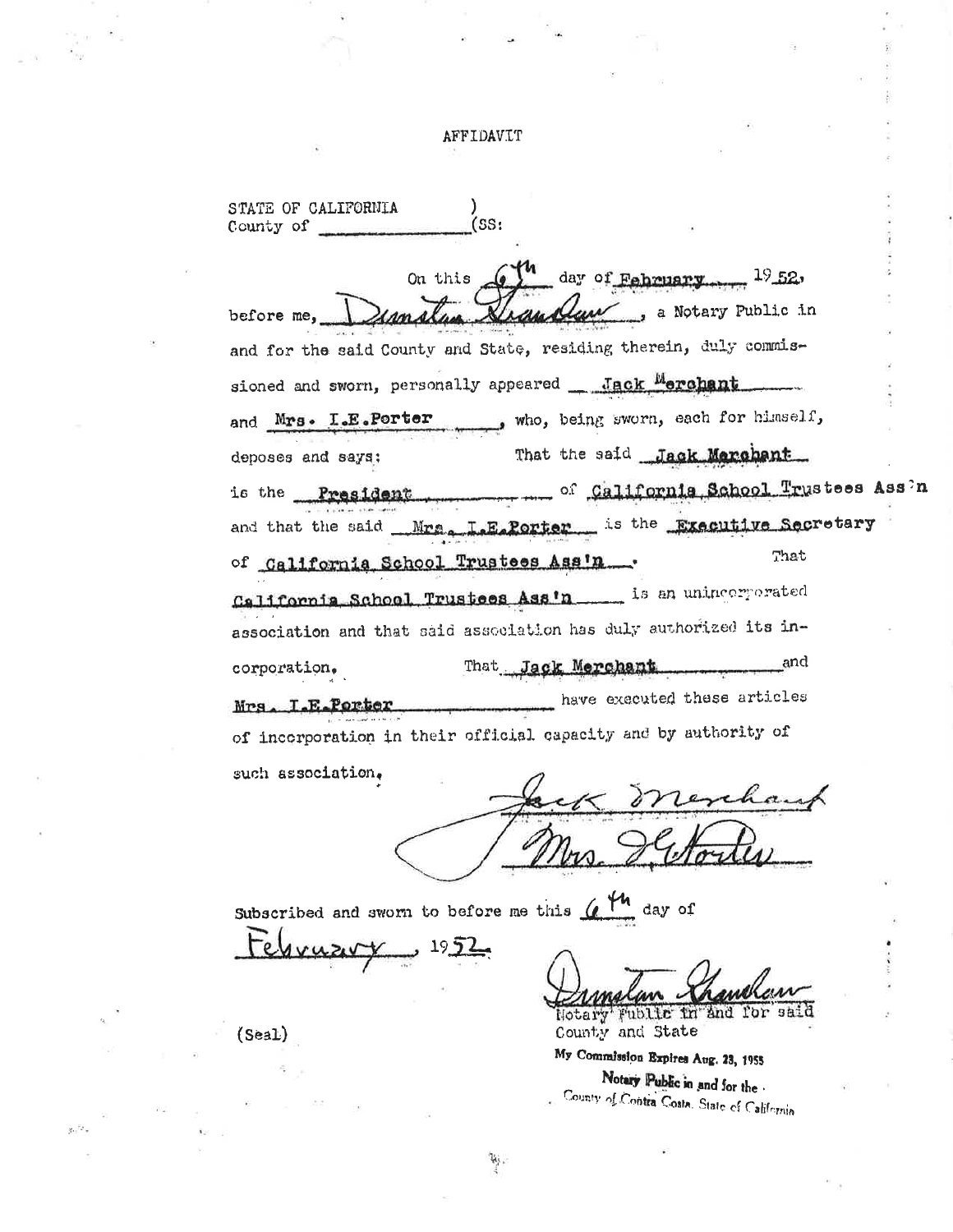#### AFFIDAVIT

STATE OF CALIFORNIA  $(SS)$ County of On this  $6\frac{1}{4}$  day of February  $19.52$ s a Notary Public in before me, and for the said County and State, residing therein, duly commissioned and sworn, personally appeared Jack Merchant who, being sworn, each for himself, and Mrs. I.E.Porter That the said Jack Marchant deposes and says: of California School Trustees Ass'n is the President. and that the said Mrs. L.E.Porter is the Executive Secretary That of California School Trustees Ass'n. California School Trustees Ass'n \_\_\_\_\_ is an unincorporated association and that said association has duly authorized its in-That Jack Merchant and corporation. have executed these articles Mrs. I.E.Porter of incorporation in their official capacity and by authority of such association.

Subscribed and sworn to before me this  $($ 

 $\mathcal{U}_1$ 

ebruzirx <u>يا 1952 ب</u>

Hotary' Fublic in and for said County and State

My Commission Expires Aug. 23, 1955 Notary Public in and for the County of Contra Costa. State of California

 $(Seal)$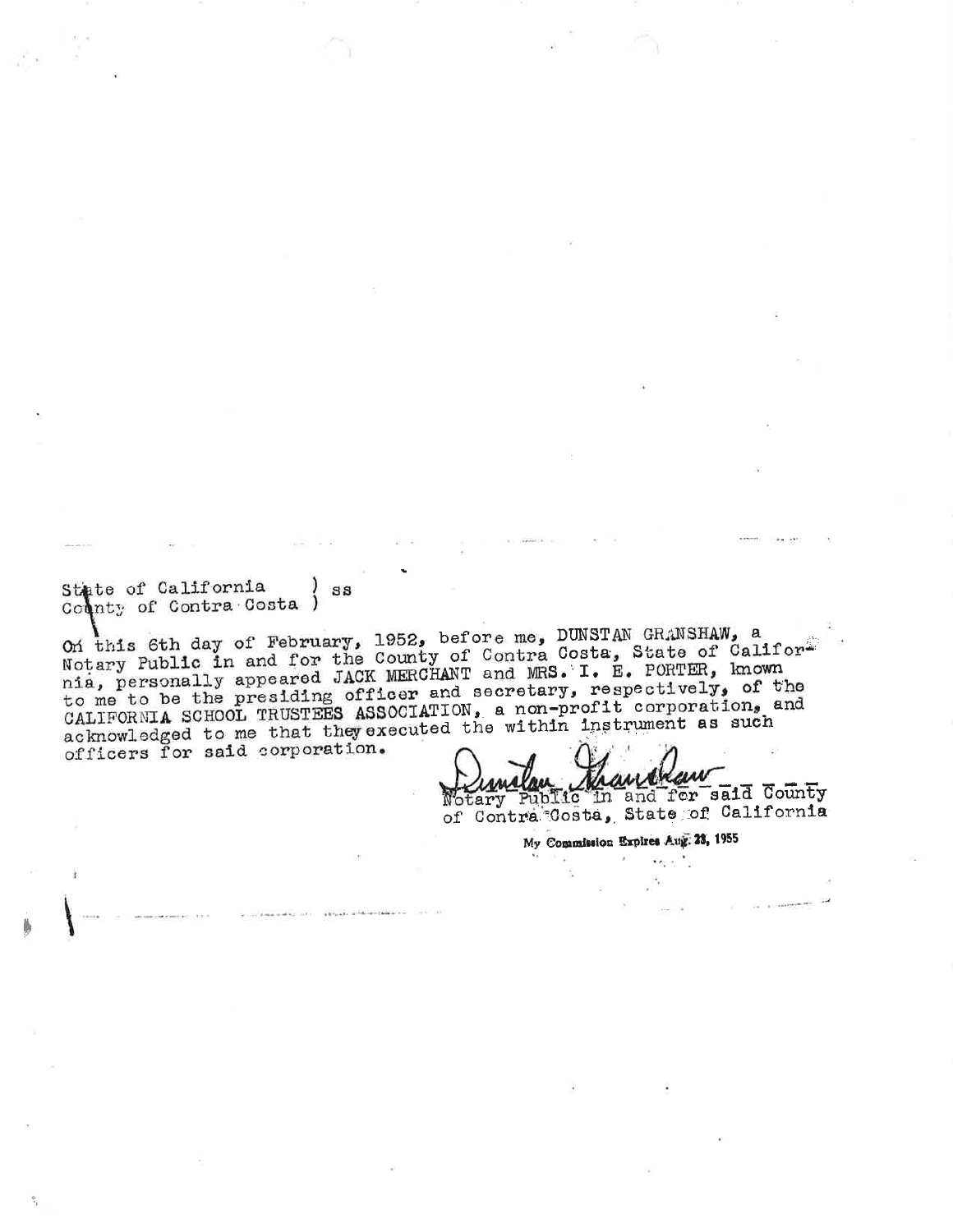State of California  $ss$ County of Contra Costa )

 $\lambda$ 

On this 6th day of February, 1952, before me, DUNSTAN GRANSHAW, a Notary Public in and for the County of Contra Costa, State of Califor<sup>2</sup> nia, personally appeared JACK MERCHANT and MRS. I. E. PORTER, known to me to be the presiding officer and secretary, respectively, of the CALIFORNIA SCHOOL TRUSTEES ASSOCIATION, a non-profit corporation, and acknowledged to me that they executed the within instrument as such officers for said corporation.

Vindlan Maurekau

of Contra Costa, State of California

My Commission Expires Aug. 23, 1955

 $\overline{\mathbf{z}}$  ,  $\overline{\mathbf{z}}$  ,  $\overline{\mathbf{z}}$ 

 $\mathcal{F}_i$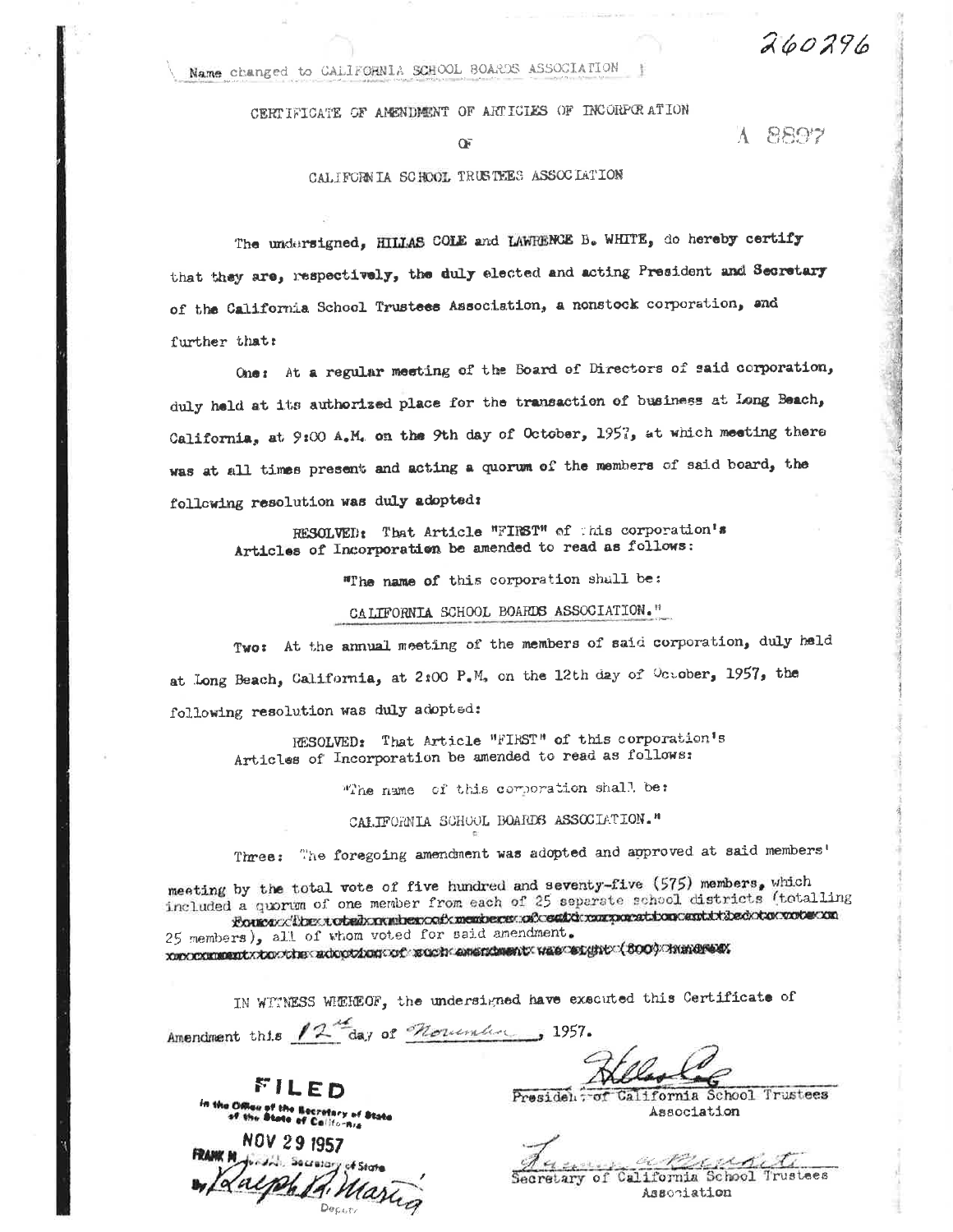Name changed to CALIFORNIA SCHOOL BOARDS ASSOCIATION

CERTIFICATE OF AMENDMENT OF ARTICLES OF INCORPORATION

Œ

#### CALIFORNIA SCHOOL TRUSTEES ASSOCIATION

260296

A 8897

The undersigned, HILLAS COLE and LAWRENCE B. WHITE, do hereby certify that they are, respectively, the duly elected and acting President and Secretary of the California School Trustees Association, a nonstock corporation, and further that:

One: At a regular meeting of the Board of Directors of said corporation, duly held at its authorized place for the transaction of business at Long Beach, California, at 9:00 A.M. on the 9th day of October, 1957, at which meeting there was at all times present and acting a quorum of the members of said board, the following resolution was duly adopted:

RESOLVED: That Article "FIRST" of this corporation's Articles of Incorporation be amended to read as follows:

"The name of this corporation shall be:

CALIFORNIA SCHOOL BOARDS ASSOCIATION."

Two: At the annual meeting of the members of said corporation, duly held at Long Beach, California, at 2:00 P.M. on the 12th day of October, 1957, the following resolution was duly adopted:

RESOLVED: That Article "FIRST" of this corporation's Articles of Incorporation be amended to read as follows:

The name of this corporation shall, be:

CALIFORNIA SCHOOL BOARDS ASSOCIATION."

Three: The foregoing amendment was adopted and approved at said members'

meeting by the total vote of five hundred and seventy-five (575) members, which included a quorum of one member from each of 25 separate school districts (totalling Fources different orbed x neutremont x member ses soft contracted on earth it dedictor voter on

25 members), all of whom voted for said amendment. 

IN WITNESS WHEREOF, the undersigned have executed this Certificate of

Amendment this 12<sup>th</sup>day of *Noticial* 1957.

FILED Office of the Becretory of State<br>of the State of California

NOV 29 1957 Laiph R. Maring

President of California School Trustees Association

oc Ref  $7.722$ Secretary of California School Trustees Association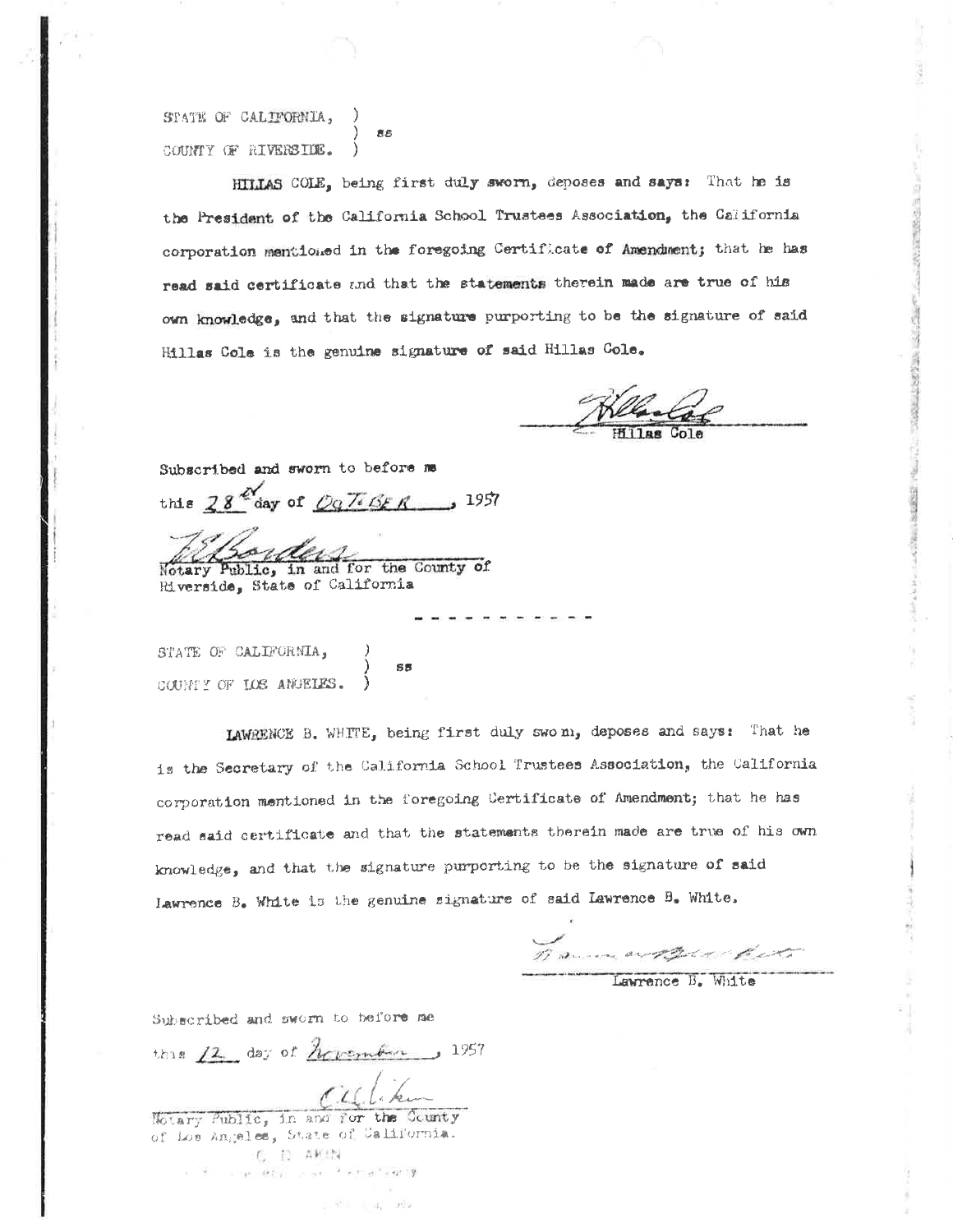STATE OF CALIFORNIA, **BS** COUNTY OF RIVERSIDE.

HILLAS COLE, being first duly sworn, deposes and says: That he is the President of the California School Trustees Association, the California corporation mentioned in the foregoing Certificate of Amendment; that he has read said certificate and that the statements therein made are true of his own knowledge, and that the signature purporting to be the signature of said Hillas Cole is the genuine signature of said Hillas Cole.

Subscribed and sworn to before me this  $28^{\frac{N}{2}}$ day of  $097668$  R 3957

Notary Public, in and for the County of Riverside, State of California

**SR** 

STATE OF CALIFORNIA, COUNTY OF LOS ANDELES.

LAWRENCE B. WHITE, being first duly swo m, deposes and says: That he is the Secretary of the California School Trustees Association, the California corporation mentioned in the foregoing Certificate of Amendment; that he has read said certificate and that the statements therein made are true of his own knowledge, and that the signature purporting to be the signature of said Lawrence B. White is the genuine signature of said Lawrence B. White.

Danmart Pre Com

Subscribed and sworn to before me

this  $12$  day of  $A$ crember 1957

Calificher

Hotary Public, in and for the Gounty of Los Angeles, State of California.  $-\zeta_c = \{1-2.0,12\}$ in the completed or an international of